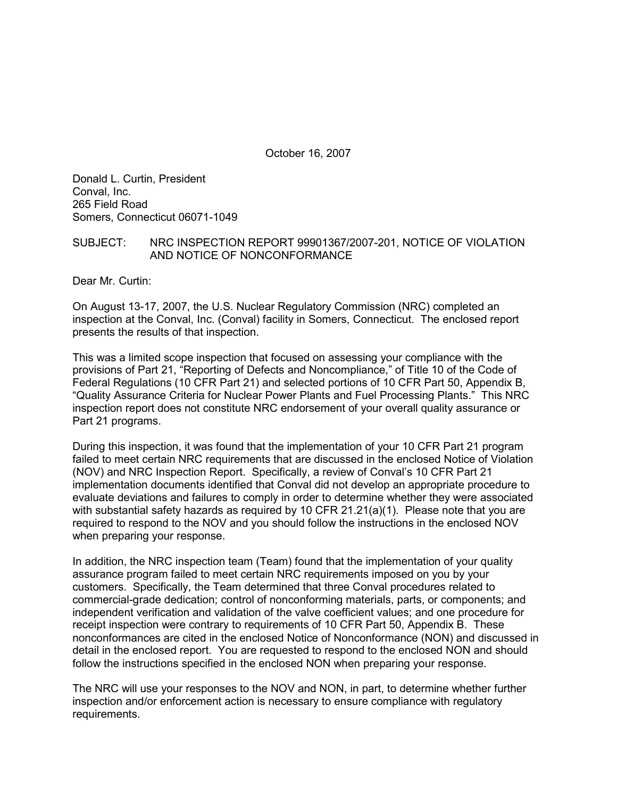October 16, 2007

Donald L. Curtin, President Conval, Inc. 265 Field Road Somers, Connecticut 06071-1049

### SUBJECT: NRC INSPECTION REPORT 99901367/2007-201, NOTICE OF VIOLATION AND NOTICE OF NONCONFORMANCE

Dear Mr. Curtin:

On August 13-17, 2007, the U.S. Nuclear Regulatory Commission (NRC) completed an inspection at the Conval, Inc. (Conval) facility in Somers, Connecticut. The enclosed report presents the results of that inspection.

This was a limited scope inspection that focused on assessing your compliance with the provisions of Part 21, "Reporting of Defects and Noncompliance," of Title 10 of the Code of Federal Regulations (10 CFR Part 21) and selected portions of 10 CFR Part 50, Appendix B, "Quality Assurance Criteria for Nuclear Power Plants and Fuel Processing Plants." This NRC inspection report does not constitute NRC endorsement of your overall quality assurance or Part 21 programs.

During this inspection, it was found that the implementation of your 10 CFR Part 21 program failed to meet certain NRC requirements that are discussed in the enclosed Notice of Violation (NOV) and NRC Inspection Report. Specifically, a review of Conval's 10 CFR Part 21 implementation documents identified that Conval did not develop an appropriate procedure to evaluate deviations and failures to comply in order to determine whether they were associated with substantial safety hazards as required by 10 CFR 21.21(a)(1). Please note that you are required to respond to the NOV and you should follow the instructions in the enclosed NOV when preparing your response.

In addition, the NRC inspection team (Team) found that the implementation of your quality assurance program failed to meet certain NRC requirements imposed on you by your customers. Specifically, the Team determined that three Conval procedures related to commercial-grade dedication; control of nonconforming materials, parts, or components; and independent verification and validation of the valve coefficient values; and one procedure for receipt inspection were contrary to requirements of 10 CFR Part 50, Appendix B. These nonconformances are cited in the enclosed Notice of Nonconformance (NON) and discussed in detail in the enclosed report. You are requested to respond to the enclosed NON and should follow the instructions specified in the enclosed NON when preparing your response.

The NRC will use your responses to the NOV and NON, in part, to determine whether further inspection and/or enforcement action is necessary to ensure compliance with regulatory requirements.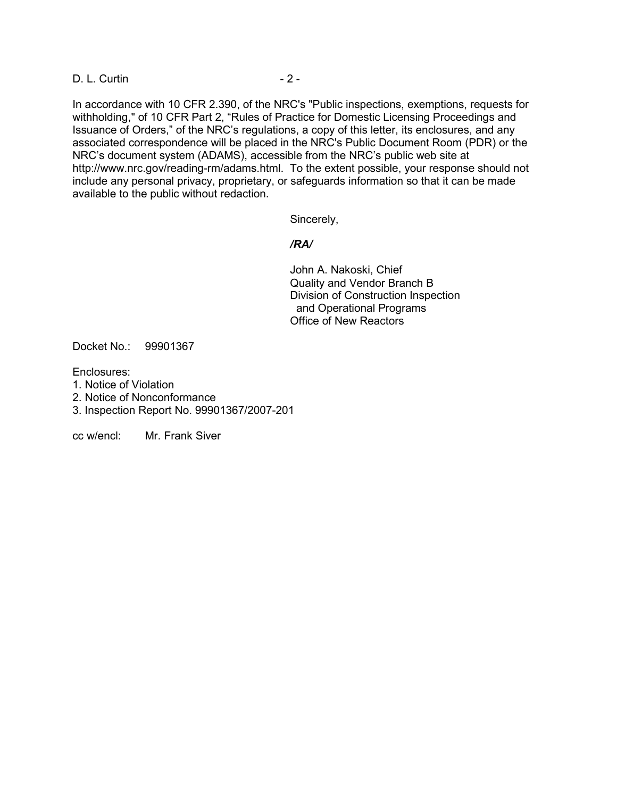D. L. Curtin - 2 -

In accordance with 10 CFR 2.390, of the NRC's "Public inspections, exemptions, requests for withholding," of 10 CFR Part 2, "Rules of Practice for Domestic Licensing Proceedings and Issuance of Orders," of the NRC's regulations, a copy of this letter, its enclosures, and any associated correspondence will be placed in the NRC's Public Document Room (PDR) or the NRC's document system (ADAMS), accessible from the NRC's public web site at http://www.nrc.gov/reading-rm/adams.html. To the extent possible, your response should not include any personal privacy, proprietary, or safeguards information so that it can be made available to the public without redaction.

Sincerely,

### */RA/*

 John A. Nakoski, Chief Quality and Vendor Branch B Division of Construction Inspection and Operational Programs Office of New Reactors

Docket No.: 99901367

Enclosures:

- 1. Notice of Violation
- 2. Notice of Nonconformance
- 3. Inspection Report No. 99901367/2007-201

cc w/encl: Mr. Frank Siver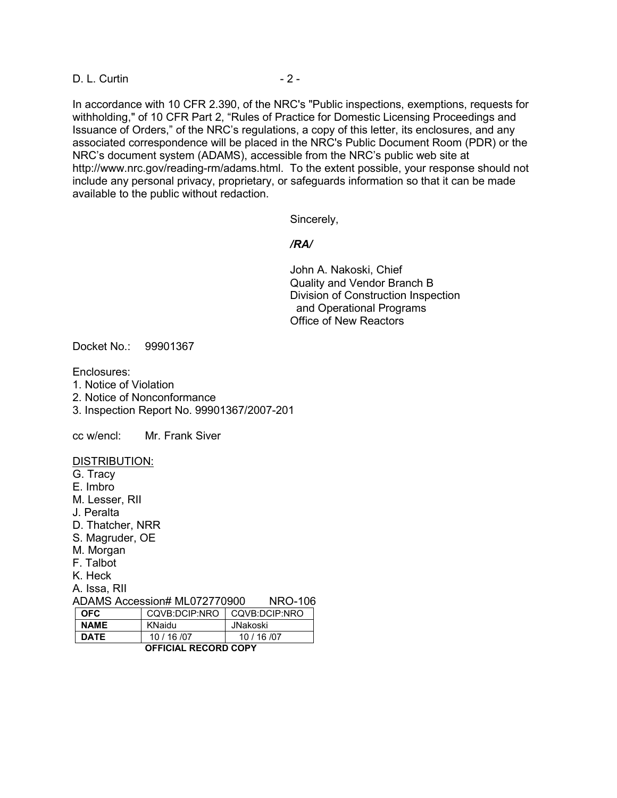D. L. Curtin - 2 -

In accordance with 10 CFR 2.390, of the NRC's "Public inspections, exemptions, requests for withholding," of 10 CFR Part 2, "Rules of Practice for Domestic Licensing Proceedings and Issuance of Orders," of the NRC's regulations, a copy of this letter, its enclosures, and any associated correspondence will be placed in the NRC's Public Document Room (PDR) or the NRC's document system (ADAMS), accessible from the NRC's public web site at http://www.nrc.gov/reading-rm/adams.html. To the extent possible, your response should not include any personal privacy, proprietary, or safeguards information so that it can be made available to the public without redaction.

Sincerely,

#### */RA/*

 John A. Nakoski, Chief Quality and Vendor Branch B Division of Construction Inspection and Operational Programs Office of New Reactors

Docket No.: 99901367

Enclosures:

- 1. Notice of Violation
- 2. Notice of Nonconformance
- 3. Inspection Report No. 99901367/2007-201

cc w/encl: Mr. Frank Siver

#### DISTRIBUTION:

- G. Tracy
- E. Imbro
- M. Lesser, RII
- J. Peralta
- D. Thatcher, NRR
- S. Magruder, OE
- M. Morgan
- F. Talbot
- K. Heck
- A. Issa, RII

ADAMS Accession# ML072770900 NRO-106

| <b>OFFICIAL RECORD COPY</b> |                               |          |  |
|-----------------------------|-------------------------------|----------|--|
| <b>DATE</b>                 | 10/16/07                      | 10/16/07 |  |
| <b>NAME</b>                 | KNaidu                        | JNakoski |  |
| <b>OFC</b>                  | CQVB:DCIP:NRO   CQVB:DCIP:NRO |          |  |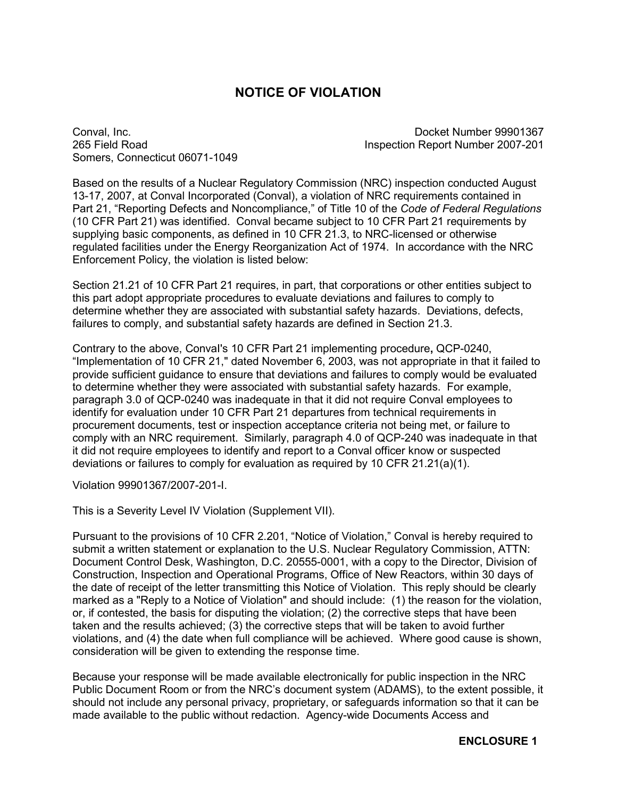# **NOTICE OF VIOLATION**

Somers, Connecticut 06071-1049

Conval, Inc. Docket Number 99901367 265 Field Road Inspection Report Number 2007-201

Based on the results of a Nuclear Regulatory Commission (NRC) inspection conducted August 13-17, 2007, at Conval Incorporated (Conval), a violation of NRC requirements contained in Part 21, "Reporting Defects and Noncompliance," of Title 10 of the *Code of Federal Regulations* (10 CFR Part 21) was identified. Conval became subject to 10 CFR Part 21 requirements by supplying basic components, as defined in 10 CFR 21.3, to NRC-licensed or otherwise regulated facilities under the Energy Reorganization Act of 1974. In accordance with the NRC Enforcement Policy, the violation is listed below:

Section 21.21 of 10 CFR Part 21 requires, in part, that corporations or other entities subject to this part adopt appropriate procedures to evaluate deviations and failures to comply to determine whether they are associated with substantial safety hazards. Deviations, defects, failures to comply, and substantial safety hazards are defined in Section 21.3.

Contrary to the above, ConvaI's 10 CFR Part 21 implementing procedure**,** QCP-0240, "Implementation of 10 CFR 21," dated November 6, 2003, was not appropriate in that it failed to provide sufficient guidance to ensure that deviations and failures to comply would be evaluated to determine whether they were associated with substantial safety hazards. For example, paragraph 3.0 of QCP-0240 was inadequate in that it did not require Conval employees to identify for evaluation under 10 CFR Part 21 departures from technical requirements in procurement documents, test or inspection acceptance criteria not being met, or failure to comply with an NRC requirement. Similarly, paragraph 4.0 of QCP-240 was inadequate in that it did not require employees to identify and report to a Conval officer know or suspected deviations or failures to comply for evaluation as required by 10 CFR 21.21(a)(1).

Violation 99901367/2007-201-I.

This is a Severity Level IV Violation (Supplement VII).

Pursuant to the provisions of 10 CFR 2.201, "Notice of Violation," Conval is hereby required to submit a written statement or explanation to the U.S. Nuclear Regulatory Commission, ATTN: Document Control Desk, Washington, D.C. 20555-0001, with a copy to the Director, Division of Construction, Inspection and Operational Programs, Office of New Reactors, within 30 days of the date of receipt of the letter transmitting this Notice of Violation. This reply should be clearly marked as a "Reply to a Notice of Violation" and should include: (1) the reason for the violation, or, if contested, the basis for disputing the violation; (2) the corrective steps that have been taken and the results achieved; (3) the corrective steps that will be taken to avoid further violations, and (4) the date when full compliance will be achieved. Where good cause is shown, consideration will be given to extending the response time.

Because your response will be made available electronically for public inspection in the NRC Public Document Room or from the NRC's document system (ADAMS), to the extent possible, it should not include any personal privacy, proprietary, or safeguards information so that it can be made available to the public without redaction. Agency-wide Documents Access and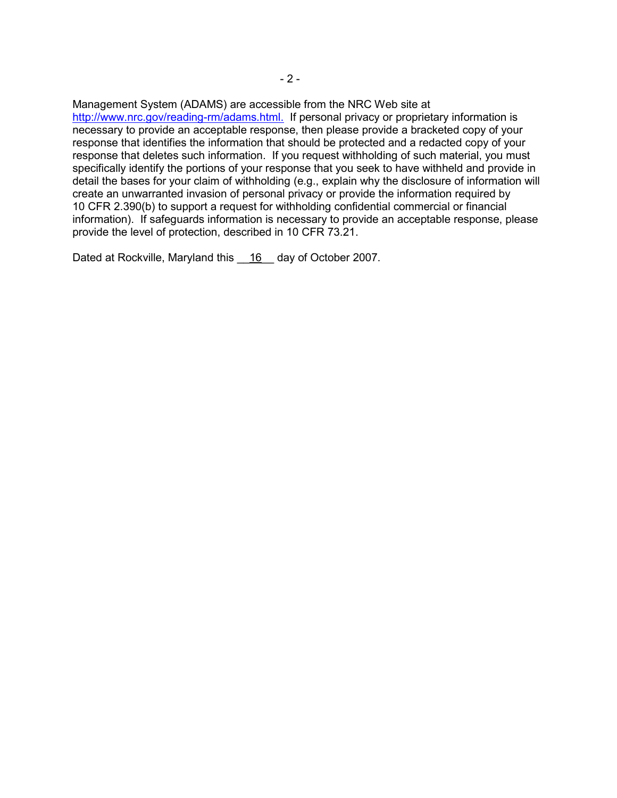Management System (ADAMS) are accessible from the NRC Web site at http://www.nrc.gov/reading-rm/adams.html. If personal privacy or proprietary information is necessary to provide an acceptable response, then please provide a bracketed copy of your response that identifies the information that should be protected and a redacted copy of your response that deletes such information. If you request withholding of such material, you must specifically identify the portions of your response that you seek to have withheld and provide in detail the bases for your claim of withholding (e.g., explain why the disclosure of information will create an unwarranted invasion of personal privacy or provide the information required by 10 CFR 2.390(b) to support a request for withholding confidential commercial or financial information). If safeguards information is necessary to provide an acceptable response, please provide the level of protection, described in 10 CFR 73.21.

Dated at Rockville, Maryland this 16 day of October 2007.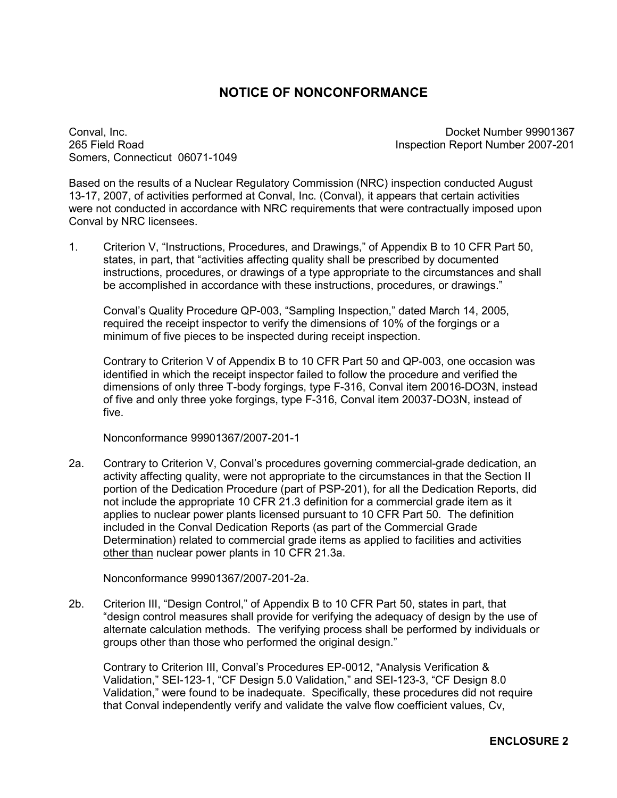# **NOTICE OF NONCONFORMANCE**

Somers, Connecticut 06071-1049

Conval, Inc. Docket Number 99901367 265 Field Road Inspection Report Number 2007-201

Based on the results of a Nuclear Regulatory Commission (NRC) inspection conducted August 13-17, 2007, of activities performed at Conval, Inc. (Conval), it appears that certain activities were not conducted in accordance with NRC requirements that were contractually imposed upon Conval by NRC licensees.

1. Criterion V, "Instructions, Procedures, and Drawings," of Appendix B to 10 CFR Part 50, states, in part, that "activities affecting quality shall be prescribed by documented instructions, procedures, or drawings of a type appropriate to the circumstances and shall be accomplished in accordance with these instructions, procedures, or drawings."

 Conval's Quality Procedure QP-003, "Sampling Inspection," dated March 14, 2005, required the receipt inspector to verify the dimensions of 10% of the forgings or a minimum of five pieces to be inspected during receipt inspection.

Contrary to Criterion V of Appendix B to 10 CFR Part 50 and QP-003, one occasion was identified in which the receipt inspector failed to follow the procedure and verified the dimensions of only three T-body forgings, type F-316, Conval item 20016-DO3N, instead of five and only three yoke forgings, type F-316, Conval item 20037-DO3N, instead of five.

Nonconformance 99901367/2007-201-1

2a. Contrary to Criterion V, Conval's procedures governing commercial-grade dedication, an activity affecting quality, were not appropriate to the circumstances in that the Section II portion of the Dedication Procedure (part of PSP-201), for all the Dedication Reports, did not include the appropriate 10 CFR 21.3 definition for a commercial grade item as it applies to nuclear power plants licensed pursuant to 10 CFR Part 50. The definition included in the Conval Dedication Reports (as part of the Commercial Grade Determination) related to commercial grade items as applied to facilities and activities other than nuclear power plants in 10 CFR 21.3a.

Nonconformance 99901367/2007-201-2a.

2b. Criterion III, "Design Control," of Appendix B to 10 CFR Part 50, states in part, that "design control measures shall provide for verifying the adequacy of design by the use of alternate calculation methods. The verifying process shall be performed by individuals or groups other than those who performed the original design."

Contrary to Criterion III, Conval's Procedures EP-0012, "Analysis Verification & Validation," SEI-123-1, "CF Design 5.0 Validation," and SEI-123-3, "CF Design 8.0 Validation," were found to be inadequate. Specifically, these procedures did not require that Conval independently verify and validate the valve flow coefficient values, Cv,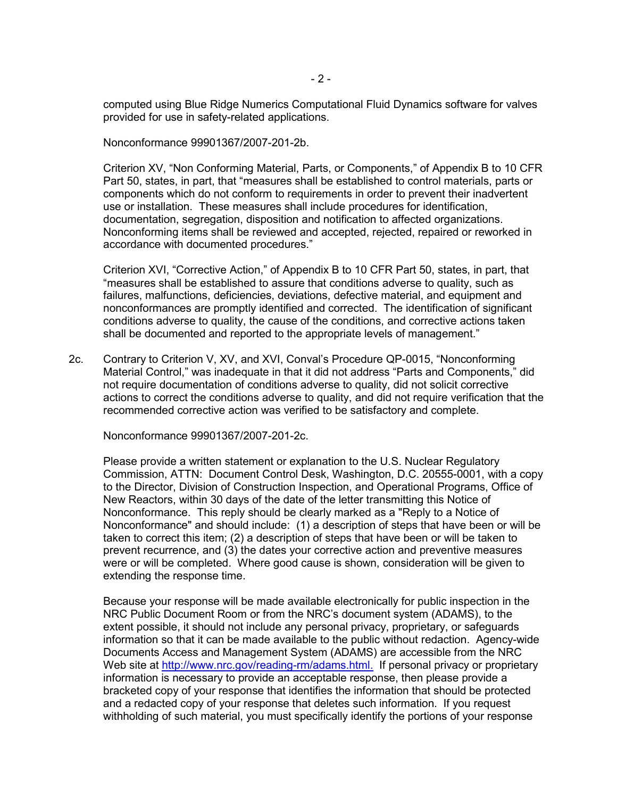$-2$  -

computed using Blue Ridge Numerics Computational Fluid Dynamics software for valves provided for use in safety-related applications.

Nonconformance 99901367/2007-201-2b.

 Criterion XV, "Non Conforming Material, Parts, or Components," of Appendix B to 10 CFR Part 50, states, in part, that "measures shall be established to control materials, parts or components which do not conform to requirements in order to prevent their inadvertent use or installation. These measures shall include procedures for identification, documentation, segregation, disposition and notification to affected organizations. Nonconforming items shall be reviewed and accepted, rejected, repaired or reworked in accordance with documented procedures."

Criterion XVI, "Corrective Action," of Appendix B to 10 CFR Part 50, states, in part, that "measures shall be established to assure that conditions adverse to quality, such as failures, malfunctions, deficiencies, deviations, defective material, and equipment and nonconformances are promptly identified and corrected. The identification of significant conditions adverse to quality, the cause of the conditions, and corrective actions taken shall be documented and reported to the appropriate levels of management."

2c. Contrary to Criterion V, XV, and XVI, Conval's Procedure QP-0015, "Nonconforming Material Control," was inadequate in that it did not address "Parts and Components," did not require documentation of conditions adverse to quality, did not solicit corrective actions to correct the conditions adverse to quality, and did not require verification that the recommended corrective action was verified to be satisfactory and complete.

Nonconformance 99901367/2007-201-2c.

Please provide a written statement or explanation to the U.S. Nuclear Regulatory Commission, ATTN: Document Control Desk, Washington, D.C. 20555-0001, with a copy to the Director, Division of Construction Inspection, and Operational Programs, Office of New Reactors, within 30 days of the date of the letter transmitting this Notice of Nonconformance. This reply should be clearly marked as a "Reply to a Notice of Nonconformance" and should include: (1) a description of steps that have been or will be taken to correct this item; (2) a description of steps that have been or will be taken to prevent recurrence, and (3) the dates your corrective action and preventive measures were or will be completed. Where good cause is shown, consideration will be given to extending the response time.

Because your response will be made available electronically for public inspection in the NRC Public Document Room or from the NRC's document system (ADAMS), to the extent possible, it should not include any personal privacy, proprietary, or safeguards information so that it can be made available to the public without redaction. Agency-wide Documents Access and Management System (ADAMS) are accessible from the NRC Web site at http://www.nrc.gov/reading-rm/adams.html. If personal privacy or proprietary information is necessary to provide an acceptable response, then please provide a bracketed copy of your response that identifies the information that should be protected and a redacted copy of your response that deletes such information. If you request withholding of such material, you must specifically identify the portions of your response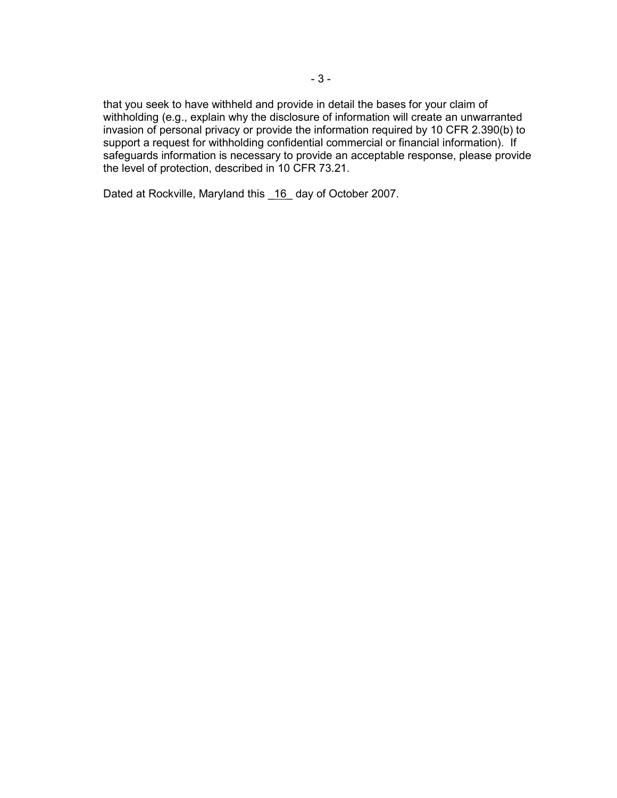that you seek to have withheld and provide in detail the bases for your claim of withholding (e.g., explain why the disclosure of information will create an unwarranted invasion of personal privacy or provide the information required by 10 CFR 2.390(b) to support a request for withholding confidential commercial or financial information). If safeguards information is necessary to provide an acceptable response, please provide the level of protection, described in 10 CFR 73.21.

Dated at Rockville, Maryland this 16 day of October 2007.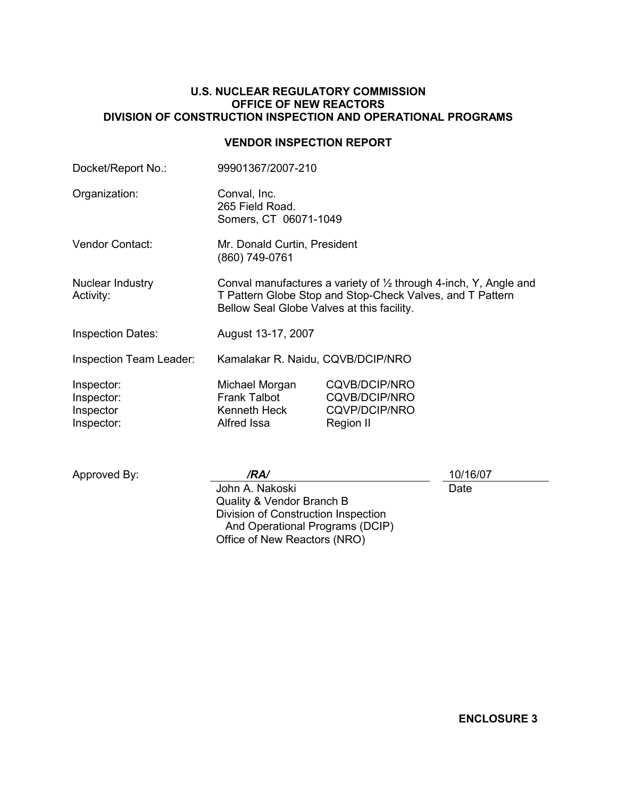### **U.S. NUCLEAR REGULATORY COMMISSION OFFICE OF NEW REACTORS DIVISION OF CONSTRUCTION INSPECTION AND OPERATIONAL PROGRAMS**

### **VENDOR INSPECTION REPORT**

| Docket/Report No.:                                  | 99901367/2007-210                                                                                                                                                            |                                                                            |
|-----------------------------------------------------|------------------------------------------------------------------------------------------------------------------------------------------------------------------------------|----------------------------------------------------------------------------|
| Organization:                                       | Conval, Inc.<br>265 Field Road.<br>Somers, CT 06071-1049                                                                                                                     |                                                                            |
| <b>Vendor Contact:</b>                              | Mr. Donald Curtin, President<br>(860) 749-0761                                                                                                                               |                                                                            |
| Nuclear Industry<br>Activity:                       | Conval manufactures a variety of 1/2 through 4-inch, Y, Angle and<br>T Pattern Globe Stop and Stop-Check Valves, and T Pattern<br>Bellow Seal Globe Valves at this facility. |                                                                            |
| <b>Inspection Dates:</b>                            | August 13-17, 2007                                                                                                                                                           |                                                                            |
| <b>Inspection Team Leader:</b>                      | Kamalakar R. Naidu, CQVB/DCIP/NRO                                                                                                                                            |                                                                            |
| Inspector:<br>Inspector:<br>Inspector<br>Inspector: | Michael Morgan<br><b>Frank Talbot</b><br>Kenneth Heck<br>Alfred Issa                                                                                                         | CQVB/DCIP/NRO<br><b>CQVB/DCIP/NRO</b><br><b>CQVP/DCIP/NRO</b><br>Region II |

Approved By: */RA/* 10/16/07

John A. Nakoski Quality & Vendor Branch B Division of Construction Inspection And Operational Programs (DCIP) Office of New Reactors (NRO)

**Date**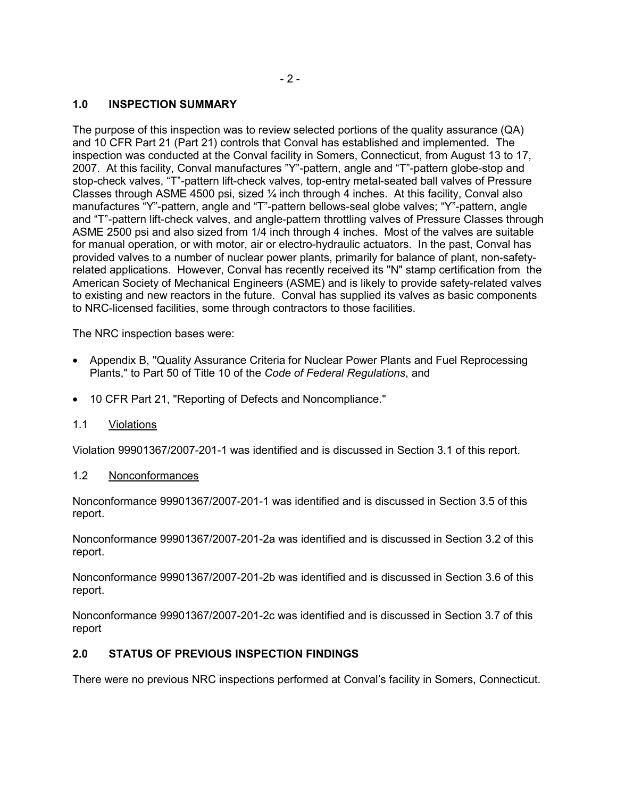# **1.0 INSPECTION SUMMARY**

The purpose of this inspection was to review selected portions of the quality assurance (QA) and 10 CFR Part 21 (Part 21) controls that Conval has established and implemented. The inspection was conducted at the Conval facility in Somers, Connecticut, from August 13 to 17, 2007. At this facility, Conval manufactures "Y"-pattern, angle and "T"-pattern globe-stop and stop-check valves, "T"-pattern lift-check valves, top-entry metal-seated ball valves of Pressure Classes through ASME 4500 psi, sized  $\frac{1}{4}$  inch through 4 inches. At this facility, Conval also manufactures "Y"-pattern, angle and "T"-pattern bellows-seal globe valves; "Y"-pattern, angle and "T"-pattern lift-check valves, and angle-pattern throttling valves of Pressure Classes through ASME 2500 psi and also sized from 1/4 inch through 4 inches. Most of the valves are suitable for manual operation, or with motor, air or electro-hydraulic actuators. In the past, Conval has provided valves to a number of nuclear power plants, primarily for balance of plant, non-safetyrelated applications. However, Conval has recently received its "N" stamp certification from the American Society of Mechanical Engineers (ASME) and is likely to provide safety-related valves to existing and new reactors in the future. Conval has supplied its valves as basic components to NRC-licensed facilities, some through contractors to those facilities.

The NRC inspection bases were:

- Appendix B, "Quality Assurance Criteria for Nuclear Power Plants and Fuel Reprocessing Plants," to Part 50 of Title 10 of the *Code of Federal Regulations*, and
- 10 CFR Part 21, "Reporting of Defects and Noncompliance."
- 1.1 Violations

Violation 99901367/2007-201-1 was identified and is discussed in Section 3.1 of this report.

### 1.2 Nonconformances

Nonconformance 99901367/2007-201-1 was identified and is discussed in Section 3.5 of this report.

Nonconformance 99901367/2007-201-2a was identified and is discussed in Section 3.2 of this report.

Nonconformance 99901367/2007-201-2b was identified and is discussed in Section 3.6 of this report.

Nonconformance 99901367/2007-201-2c was identified and is discussed in Section 3.7 of this report

# **2.0 STATUS OF PREVIOUS INSPECTION FINDINGS**

There were no previous NRC inspections performed at Conval's facility in Somers, Connecticut.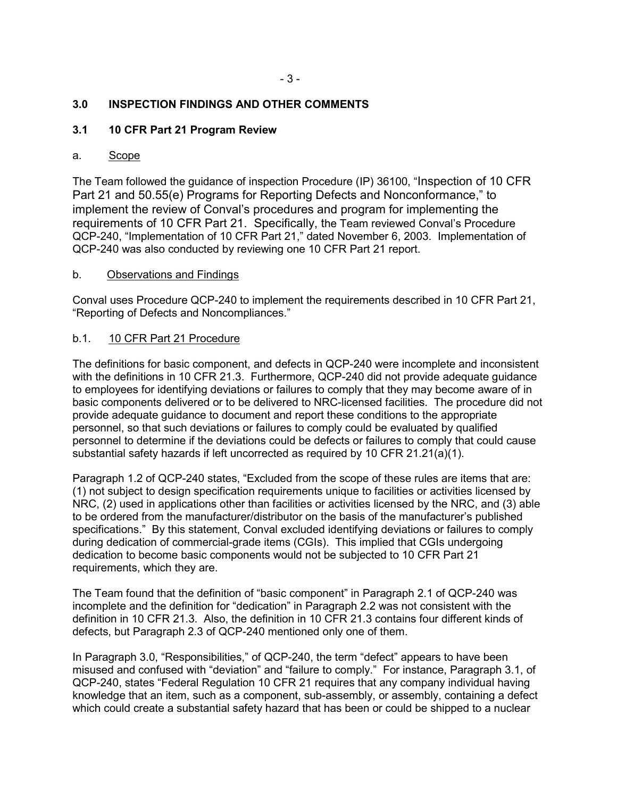# **3.0 INSPECTION FINDINGS AND OTHER COMMENTS**

# **3.1 10 CFR Part 21 Program Review**

### a. Scope

The Team followed the guidance of inspection Procedure (IP) 36100, "Inspection of 10 CFR Part 21 and 50.55(e) Programs for Reporting Defects and Nonconformance," to implement the review of Conval's procedures and program for implementing the requirements of 10 CFR Part 21. Specifically, the Team reviewed Conval's Procedure QCP-240, "Implementation of 10 CFR Part 21," dated November 6, 2003. Implementation of QCP-240 was also conducted by reviewing one 10 CFR Part 21 report.

### b. Observations and Findings

Conval uses Procedure QCP-240 to implement the requirements described in 10 CFR Part 21, "Reporting of Defects and Noncompliances."

### b.1. 10 CFR Part 21 Procedure

The definitions for basic component, and defects in QCP-240 were incomplete and inconsistent with the definitions in 10 CFR 21.3. Furthermore, QCP-240 did not provide adequate guidance to employees for identifying deviations or failures to comply that they may become aware of in basic components delivered or to be delivered to NRC-licensed facilities. The procedure did not provide adequate guidance to document and report these conditions to the appropriate personnel, so that such deviations or failures to comply could be evaluated by qualified personnel to determine if the deviations could be defects or failures to comply that could cause substantial safety hazards if left uncorrected as required by 10 CFR 21.21(a)(1).

Paragraph 1.2 of QCP-240 states, "Excluded from the scope of these rules are items that are: (1) not subject to design specification requirements unique to facilities or activities licensed by NRC, (2) used in applications other than facilities or activities licensed by the NRC, and (3) able to be ordered from the manufacturer/distributor on the basis of the manufacturer's published specifications." By this statement, Conval excluded identifying deviations or failures to comply during dedication of commercial-grade items (CGIs). This implied that CGIs undergoing dedication to become basic components would not be subjected to 10 CFR Part 21 requirements, which they are.

The Team found that the definition of "basic component" in Paragraph 2.1 of QCP-240 was incomplete and the definition for "dedication" in Paragraph 2.2 was not consistent with the definition in 10 CFR 21.3. Also, the definition in 10 CFR 21.3 contains four different kinds of defects, but Paragraph 2.3 of QCP-240 mentioned only one of them.

In Paragraph 3.0, "Responsibilities," of QCP-240, the term "defect" appears to have been misused and confused with "deviation" and "failure to comply." For instance, Paragraph 3.1, of QCP-240, states "Federal Regulation 10 CFR 21 requires that any company individual having knowledge that an item, such as a component, sub-assembly, or assembly, containing a defect which could create a substantial safety hazard that has been or could be shipped to a nuclear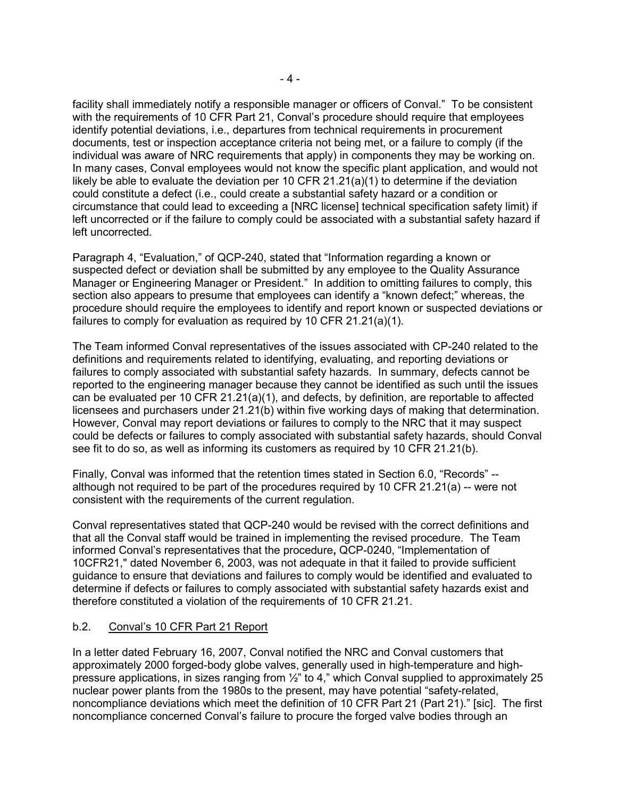facility shall immediately notify a responsible manager or officers of Conval." To be consistent with the requirements of 10 CFR Part 21, Conval's procedure should require that employees identify potential deviations, i.e., departures from technical requirements in procurement documents, test or inspection acceptance criteria not being met, or a failure to comply (if the individual was aware of NRC requirements that apply) in components they may be working on. In many cases, Conval employees would not know the specific plant application, and would not likely be able to evaluate the deviation per 10 CFR 21.21(a)(1) to determine if the deviation could constitute a defect (i.e., could create a substantial safety hazard or a condition or circumstance that could lead to exceeding a [NRC license] technical specification safety limit) if left uncorrected or if the failure to comply could be associated with a substantial safety hazard if left uncorrected.

Paragraph 4, "Evaluation," of QCP-240, stated that "Information regarding a known or suspected defect or deviation shall be submitted by any employee to the Quality Assurance Manager or Engineering Manager or President." In addition to omitting failures to comply, this section also appears to presume that employees can identify a "known defect;" whereas, the procedure should require the employees to identify and report known or suspected deviations or failures to comply for evaluation as required by 10 CFR 21.21(a)(1).

The Team informed Conval representatives of the issues associated with CP-240 related to the definitions and requirements related to identifying, evaluating, and reporting deviations or failures to comply associated with substantial safety hazards. In summary, defects cannot be reported to the engineering manager because they cannot be identified as such until the issues can be evaluated per 10 CFR 21.21(a)(1), and defects, by definition, are reportable to affected licensees and purchasers under 21.21(b) within five working days of making that determination. However, Conval may report deviations or failures to comply to the NRC that it may suspect could be defects or failures to comply associated with substantial safety hazards, should Conval see fit to do so, as well as informing its customers as required by 10 CFR 21.21(b).

Finally, Conval was informed that the retention times stated in Section 6.0, "Records" - although not required to be part of the procedures required by 10 CFR 21.21(a)  $-$  were not consistent with the requirements of the current regulation.

Conval representatives stated that QCP-240 would be revised with the correct definitions and that all the Conval staff would be trained in implementing the revised procedure. The Team informed Conval's representatives that the procedure**,** QCP-0240, "Implementation of 10CFR21," dated November 6, 2003, was not adequate in that it failed to provide sufficient guidance to ensure that deviations and failures to comply would be identified and evaluated to determine if defects or failures to comply associated with substantial safety hazards exist and therefore constituted a violation of the requirements of 10 CFR 21.21.

# b.2. Conval's 10 CFR Part 21 Report

In a letter dated February 16, 2007, Conval notified the NRC and Conval customers that approximately 2000 forged-body globe valves, generally used in high-temperature and highpressure applications, in sizes ranging from ½" to 4," which Conval supplied to approximately 25 nuclear power plants from the 1980s to the present, may have potential "safety-related, noncompliance deviations which meet the definition of 10 CFR Part 21 (Part 21)." [sic]. The first noncompliance concerned Conval's failure to procure the forged valve bodies through an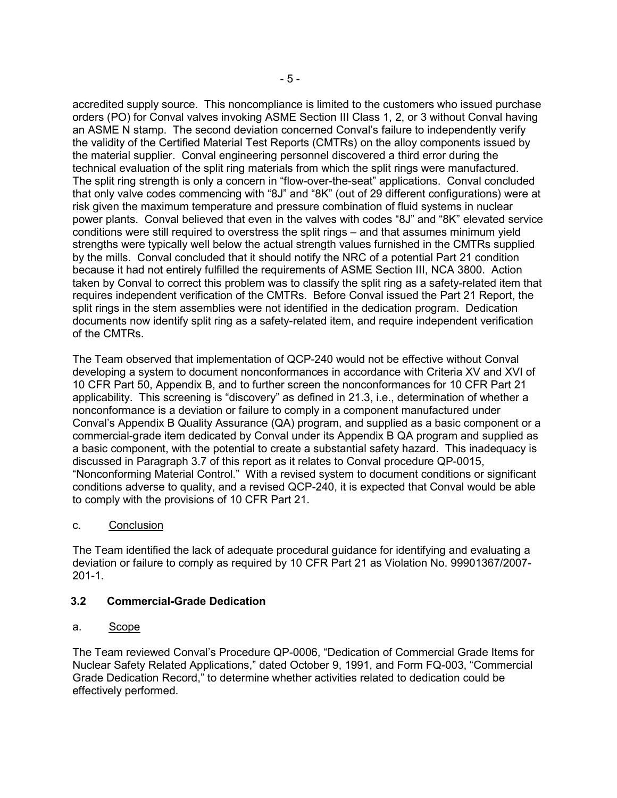accredited supply source. This noncompliance is limited to the customers who issued purchase orders (PO) for Conval valves invoking ASME Section III Class 1, 2, or 3 without Conval having an ASME N stamp. The second deviation concerned Conval's failure to independently verify the validity of the Certified Material Test Reports (CMTRs) on the alloy components issued by the material supplier. Conval engineering personnel discovered a third error during the technical evaluation of the split ring materials from which the split rings were manufactured. The split ring strength is only a concern in "flow-over-the-seat" applications. Conval concluded that only valve codes commencing with "8J" and "8K" (out of 29 different configurations) were at risk given the maximum temperature and pressure combination of fluid systems in nuclear power plants. Conval believed that even in the valves with codes "8J" and "8K" elevated service conditions were still required to overstress the split rings – and that assumes minimum yield strengths were typically well below the actual strength values furnished in the CMTRs supplied by the mills. Conval concluded that it should notify the NRC of a potential Part 21 condition because it had not entirely fulfilled the requirements of ASME Section III, NCA 3800. Action taken by Conval to correct this problem was to classify the split ring as a safety-related item that requires independent verification of the CMTRs. Before Conval issued the Part 21 Report, the split rings in the stem assemblies were not identified in the dedication program. Dedication documents now identify split ring as a safety-related item, and require independent verification of the CMTRs.

The Team observed that implementation of QCP-240 would not be effective without Conval developing a system to document nonconformances in accordance with Criteria XV and XVI of 10 CFR Part 50, Appendix B, and to further screen the nonconformances for 10 CFR Part 21 applicability. This screening is "discovery" as defined in 21.3, i.e., determination of whether a nonconformance is a deviation or failure to comply in a component manufactured under Conval's Appendix B Quality Assurance (QA) program, and supplied as a basic component or a commercial-grade item dedicated by Conval under its Appendix B QA program and supplied as a basic component, with the potential to create a substantial safety hazard. This inadequacy is discussed in Paragraph 3.7 of this report as it relates to Conval procedure QP-0015, "Nonconforming Material Control." With a revised system to document conditions or significant conditions adverse to quality, and a revised QCP-240, it is expected that Conval would be able to comply with the provisions of 10 CFR Part 21.

# c. Conclusion

The Team identified the lack of adequate procedural guidance for identifying and evaluating a deviation or failure to comply as required by 10 CFR Part 21 as Violation No. 99901367/2007- 201-1.

# **3.2 Commercial-Grade Dedication**

# a. Scope

The Team reviewed Conval's Procedure QP-0006, "Dedication of Commercial Grade Items for Nuclear Safety Related Applications," dated October 9, 1991, and Form FQ-003, "Commercial Grade Dedication Record," to determine whether activities related to dedication could be effectively performed.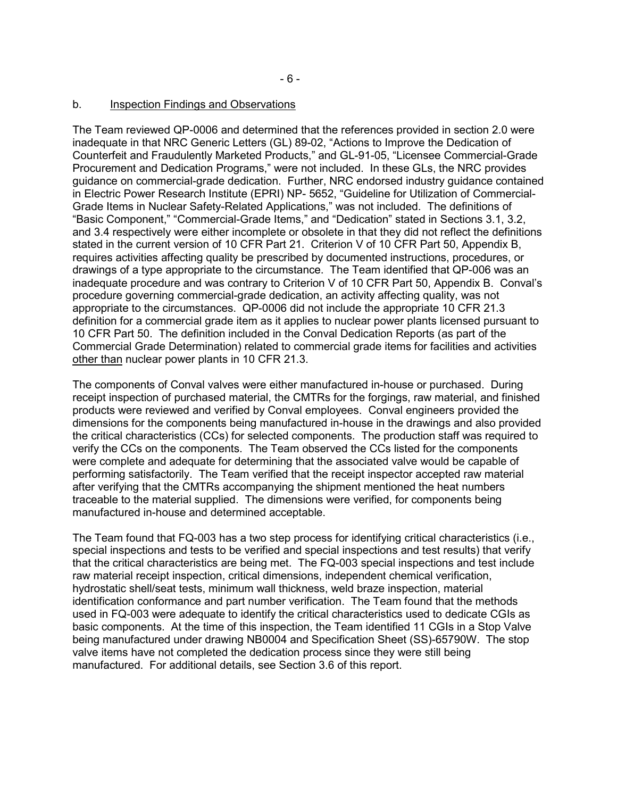#### b. Inspection Findings and Observations

The Team reviewed QP-0006 and determined that the references provided in section 2.0 were inadequate in that NRC Generic Letters (GL) 89-02, "Actions to Improve the Dedication of Counterfeit and Fraudulently Marketed Products," and GL-91-05, "Licensee Commercial-Grade Procurement and Dedication Programs," were not included. In these GLs, the NRC provides guidance on commercial-grade dedication. Further, NRC endorsed industry guidance contained in Electric Power Research Institute (EPRI) NP- 5652, "Guideline for Utilization of Commercial-Grade Items in Nuclear Safety-Related Applications," was not included. The definitions of "Basic Component," "Commercial-Grade Items," and "Dedication" stated in Sections 3.1, 3.2, and 3.4 respectively were either incomplete or obsolete in that they did not reflect the definitions stated in the current version of 10 CFR Part 21. Criterion V of 10 CFR Part 50, Appendix B, requires activities affecting quality be prescribed by documented instructions, procedures, or drawings of a type appropriate to the circumstance. The Team identified that QP-006 was an inadequate procedure and was contrary to Criterion V of 10 CFR Part 50, Appendix B. Conval's procedure governing commercial-grade dedication, an activity affecting quality, was not appropriate to the circumstances. QP-0006 did not include the appropriate 10 CFR 21.3 definition for a commercial grade item as it applies to nuclear power plants licensed pursuant to 10 CFR Part 50. The definition included in the Conval Dedication Reports (as part of the Commercial Grade Determination) related to commercial grade items for facilities and activities other than nuclear power plants in 10 CFR 21.3.

The components of Conval valves were either manufactured in-house or purchased. During receipt inspection of purchased material, the CMTRs for the forgings, raw material, and finished products were reviewed and verified by Conval employees. Conval engineers provided the dimensions for the components being manufactured in-house in the drawings and also provided the critical characteristics (CCs) for selected components. The production staff was required to verify the CCs on the components. The Team observed the CCs listed for the components were complete and adequate for determining that the associated valve would be capable of performing satisfactorily. The Team verified that the receipt inspector accepted raw material after verifying that the CMTRs accompanying the shipment mentioned the heat numbers traceable to the material supplied. The dimensions were verified, for components being manufactured in-house and determined acceptable.

The Team found that FQ-003 has a two step process for identifying critical characteristics (i.e., special inspections and tests to be verified and special inspections and test results) that verify that the critical characteristics are being met. The FQ-003 special inspections and test include raw material receipt inspection, critical dimensions, independent chemical verification, hydrostatic shell/seat tests, minimum wall thickness, weld braze inspection, material identification conformance and part number verification. The Team found that the methods used in FQ-003 were adequate to identify the critical characteristics used to dedicate CGIs as basic components. At the time of this inspection, the Team identified 11 CGIs in a Stop Valve being manufactured under drawing NB0004 and Specification Sheet (SS)-65790W. The stop valve items have not completed the dedication process since they were still being manufactured. For additional details, see Section 3.6 of this report.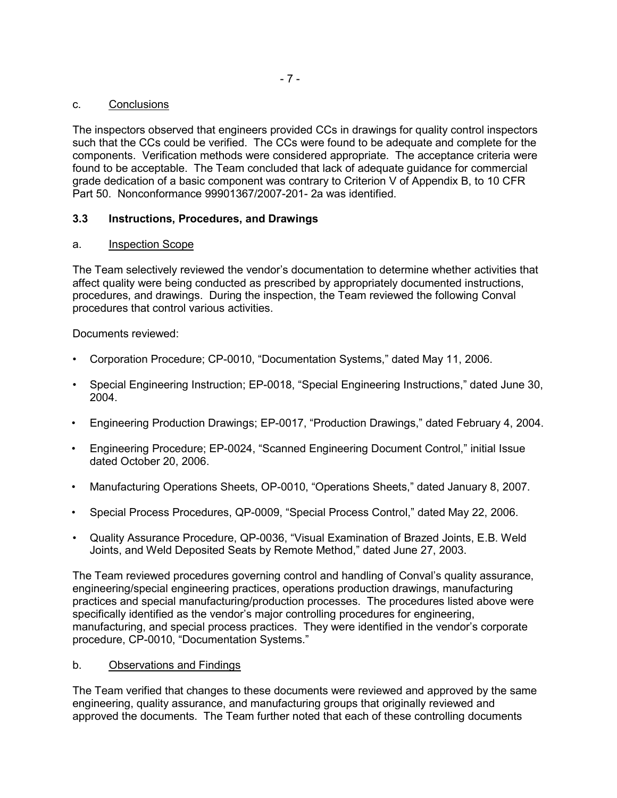### c. Conclusions

The inspectors observed that engineers provided CCs in drawings for quality control inspectors such that the CCs could be verified. The CCs were found to be adequate and complete for the components. Verification methods were considered appropriate. The acceptance criteria were found to be acceptable. The Team concluded that lack of adequate guidance for commercial grade dedication of a basic component was contrary to Criterion V of Appendix B, to 10 CFR Part 50. Nonconformance 99901367/2007-201- 2a was identified.

# **3.3 Instructions, Procedures, and Drawings**

### a. Inspection Scope

The Team selectively reviewed the vendor's documentation to determine whether activities that affect quality were being conducted as prescribed by appropriately documented instructions, procedures, and drawings. During the inspection, the Team reviewed the following Conval procedures that control various activities.

Documents reviewed:

- Corporation Procedure; CP-0010, "Documentation Systems," dated May 11, 2006.
- Special Engineering Instruction; EP-0018, "Special Engineering Instructions," dated June 30, 2004.
- Engineering Production Drawings; EP-0017, "Production Drawings," dated February 4, 2004.
- Engineering Procedure; EP-0024, "Scanned Engineering Document Control," initial Issue dated October 20, 2006.
- Manufacturing Operations Sheets, OP-0010, "Operations Sheets," dated January 8, 2007.
- Special Process Procedures, QP-0009, "Special Process Control," dated May 22, 2006.
- Quality Assurance Procedure, QP-0036, "Visual Examination of Brazed Joints, E.B. Weld Joints, and Weld Deposited Seats by Remote Method," dated June 27, 2003.

The Team reviewed procedures governing control and handling of Conval's quality assurance, engineering/special engineering practices, operations production drawings, manufacturing practices and special manufacturing/production processes. The procedures listed above were specifically identified as the vendor's major controlling procedures for engineering, manufacturing, and special process practices. They were identified in the vendor's corporate procedure, CP-0010, "Documentation Systems."

# b. Observations and Findings

The Team verified that changes to these documents were reviewed and approved by the same engineering, quality assurance, and manufacturing groups that originally reviewed and approved the documents. The Team further noted that each of these controlling documents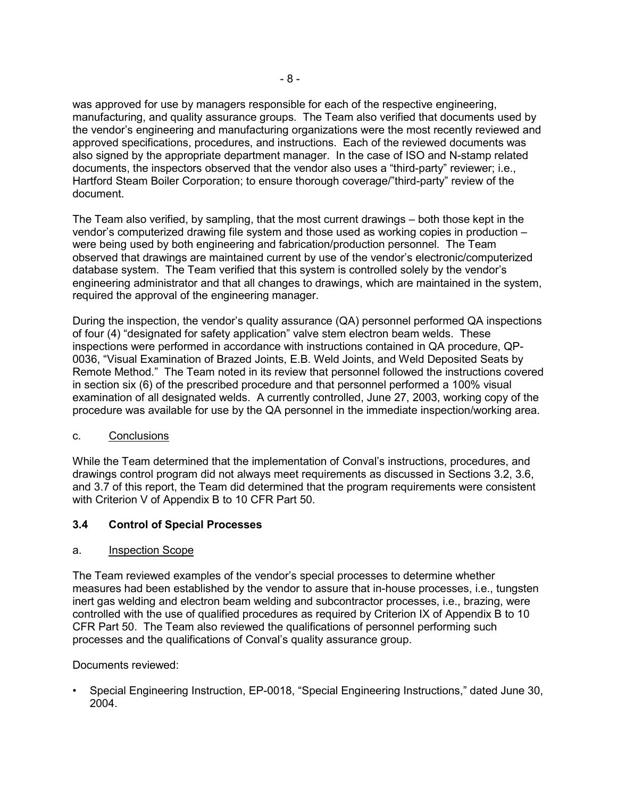was approved for use by managers responsible for each of the respective engineering, manufacturing, and quality assurance groups. The Team also verified that documents used by the vendor's engineering and manufacturing organizations were the most recently reviewed and approved specifications, procedures, and instructions. Each of the reviewed documents was also signed by the appropriate department manager. In the case of ISO and N-stamp related documents, the inspectors observed that the vendor also uses a "third-party" reviewer; i.e., Hartford Steam Boiler Corporation; to ensure thorough coverage/"third-party" review of the document.

The Team also verified, by sampling, that the most current drawings – both those kept in the vendor's computerized drawing file system and those used as working copies in production – were being used by both engineering and fabrication/production personnel. The Team observed that drawings are maintained current by use of the vendor's electronic/computerized database system. The Team verified that this system is controlled solely by the vendor's engineering administrator and that all changes to drawings, which are maintained in the system, required the approval of the engineering manager.

During the inspection, the vendor's quality assurance (QA) personnel performed QA inspections of four (4) "designated for safety application" valve stem electron beam welds. These inspections were performed in accordance with instructions contained in QA procedure, QP-0036, "Visual Examination of Brazed Joints, E.B. Weld Joints, and Weld Deposited Seats by Remote Method." The Team noted in its review that personnel followed the instructions covered in section six (6) of the prescribed procedure and that personnel performed a 100% visual examination of all designated welds. A currently controlled, June 27, 2003, working copy of the procedure was available for use by the QA personnel in the immediate inspection/working area.

# c. Conclusions

While the Team determined that the implementation of Conval's instructions, procedures, and drawings control program did not always meet requirements as discussed in Sections 3.2, 3.6, and 3.7 of this report, the Team did determined that the program requirements were consistent with Criterion V of Appendix B to 10 CFR Part 50.

# **3.4 Control of Special Processes**

### a. Inspection Scope

The Team reviewed examples of the vendor's special processes to determine whether measures had been established by the vendor to assure that in-house processes, i.e., tungsten inert gas welding and electron beam welding and subcontractor processes, i.e., brazing, were controlled with the use of qualified procedures as required by Criterion IX of Appendix B to 10 CFR Part 50. The Team also reviewed the qualifications of personnel performing such processes and the qualifications of Conval's quality assurance group.

### Documents reviewed:

• Special Engineering Instruction, EP-0018, "Special Engineering Instructions," dated June 30, 2004.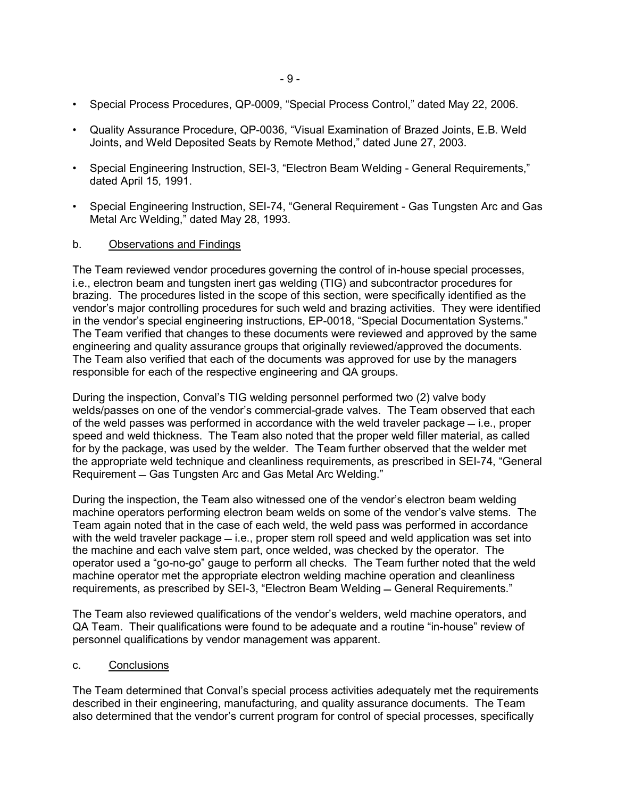- Special Process Procedures, QP-0009, "Special Process Control," dated May 22, 2006.
- Quality Assurance Procedure, QP-0036, "Visual Examination of Brazed Joints, E.B. Weld Joints, and Weld Deposited Seats by Remote Method," dated June 27, 2003.
- Special Engineering Instruction, SEI-3, "Electron Beam Welding General Requirements," dated April 15, 1991.
- Special Engineering Instruction, SEI-74, "General Requirement Gas Tungsten Arc and Gas Metal Arc Welding," dated May 28, 1993.

### b. Observations and Findings

The Team reviewed vendor procedures governing the control of in-house special processes, i.e., electron beam and tungsten inert gas welding (TIG) and subcontractor procedures for brazing. The procedures listed in the scope of this section, were specifically identified as the vendor's major controlling procedures for such weld and brazing activities. They were identified in the vendor's special engineering instructions, EP-0018, "Special Documentation Systems." The Team verified that changes to these documents were reviewed and approved by the same engineering and quality assurance groups that originally reviewed/approved the documents. The Team also verified that each of the documents was approved for use by the managers responsible for each of the respective engineering and QA groups.

During the inspection, Conval's TIG welding personnel performed two (2) valve body welds/passes on one of the vendor's commercial-grade valves. The Team observed that each of the weld passes was performed in accordance with the weld traveler package  $=$  i.e., proper speed and weld thickness. The Team also noted that the proper weld filler material, as called for by the package, was used by the welder. The Team further observed that the welder met the appropriate weld technique and cleanliness requirements, as prescribed in SEI-74, "General Requirement – Gas Tungsten Arc and Gas Metal Arc Welding."

During the inspection, the Team also witnessed one of the vendor's electron beam welding machine operators performing electron beam welds on some of the vendor's valve stems. The Team again noted that in the case of each weld, the weld pass was performed in accordance with the weld traveler package  $=$  i.e., proper stem roll speed and weld application was set into the machine and each valve stem part, once welded, was checked by the operator. The operator used a "go-no-go" gauge to perform all checks. The Team further noted that the weld machine operator met the appropriate electron welding machine operation and cleanliness requirements, as prescribed by SEI-3, "Electron Beam Welding - General Requirements."

The Team also reviewed qualifications of the vendor's welders, weld machine operators, and QA Team. Their qualifications were found to be adequate and a routine "in-house" review of personnel qualifications by vendor management was apparent.

### c. Conclusions

The Team determined that Conval's special process activities adequately met the requirements described in their engineering, manufacturing, and quality assurance documents. The Team also determined that the vendor's current program for control of special processes, specifically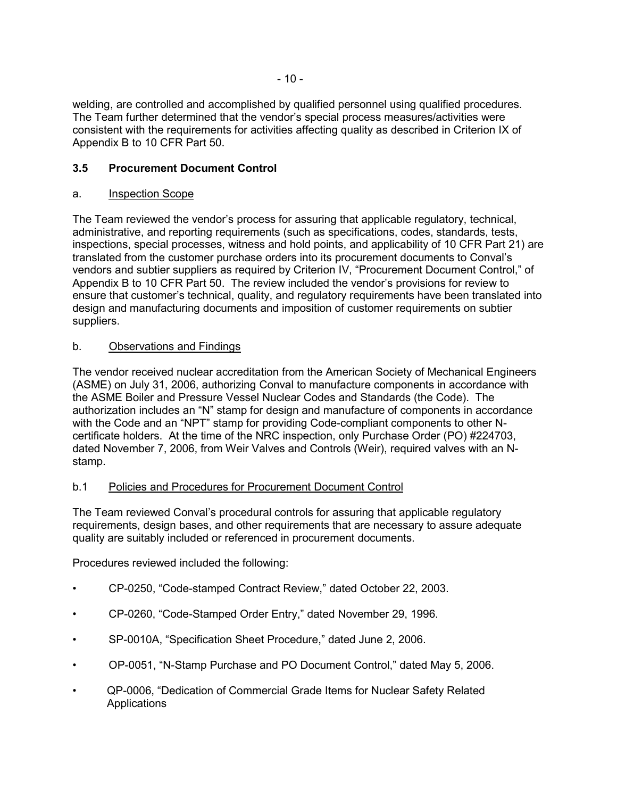welding, are controlled and accomplished by qualified personnel using qualified procedures. The Team further determined that the vendor's special process measures/activities were consistent with the requirements for activities affecting quality as described in Criterion IX of Appendix B to 10 CFR Part 50.

# **3.5 Procurement Document Control**

# a. Inspection Scope

The Team reviewed the vendor's process for assuring that applicable regulatory, technical, administrative, and reporting requirements (such as specifications, codes, standards, tests, inspections, special processes, witness and hold points, and applicability of 10 CFR Part 21) are translated from the customer purchase orders into its procurement documents to Conval's vendors and subtier suppliers as required by Criterion IV, "Procurement Document Control," of Appendix B to 10 CFR Part 50. The review included the vendor's provisions for review to ensure that customer's technical, quality, and regulatory requirements have been translated into design and manufacturing documents and imposition of customer requirements on subtier suppliers.

# b. Observations and Findings

The vendor received nuclear accreditation from the American Society of Mechanical Engineers (ASME) on July 31, 2006, authorizing Conval to manufacture components in accordance with the ASME Boiler and Pressure Vessel Nuclear Codes and Standards (the Code). The authorization includes an "N" stamp for design and manufacture of components in accordance with the Code and an "NPT" stamp for providing Code-compliant components to other Ncertificate holders. At the time of the NRC inspection, only Purchase Order (PO) #224703, dated November 7, 2006, from Weir Valves and Controls (Weir), required valves with an Nstamp.

# b.1 Policies and Procedures for Procurement Document Control

The Team reviewed Conval's procedural controls for assuring that applicable regulatory requirements, design bases, and other requirements that are necessary to assure adequate quality are suitably included or referenced in procurement documents.

Procedures reviewed included the following:

- CP-0250, "Code-stamped Contract Review," dated October 22, 2003.
- CP-0260, "Code-Stamped Order Entry," dated November 29, 1996.
- SP-0010A, "Specification Sheet Procedure," dated June 2, 2006.
- OP-0051, "N-Stamp Purchase and PO Document Control," dated May 5, 2006.
- QP-0006, "Dedication of Commercial Grade Items for Nuclear Safety Related Applications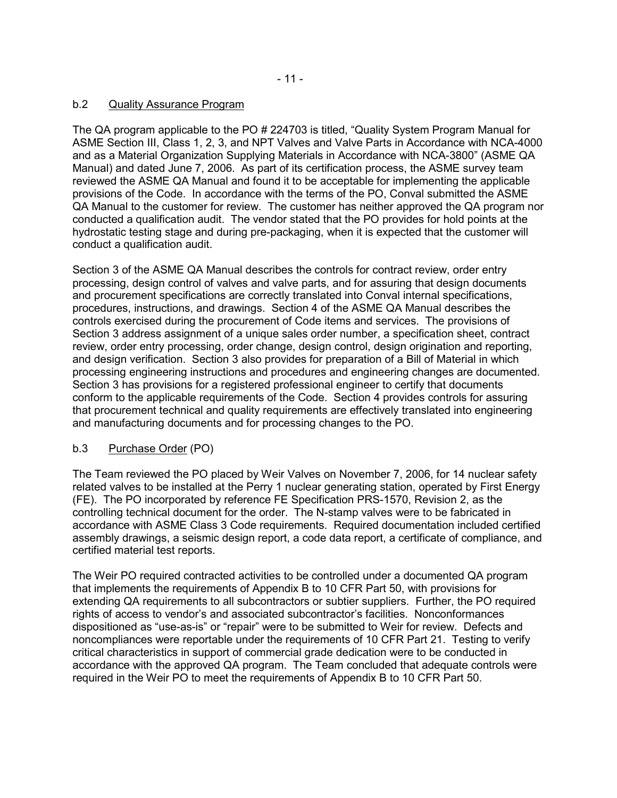# b.2 Quality Assurance Program

The QA program applicable to the PO # 224703 is titled, "Quality System Program Manual for ASME Section III, Class 1, 2, 3, and NPT Valves and Valve Parts in Accordance with NCA-4000 and as a Material Organization Supplying Materials in Accordance with NCA-3800" (ASME QA Manual) and dated June 7, 2006. As part of its certification process, the ASME survey team reviewed the ASME QA Manual and found it to be acceptable for implementing the applicable provisions of the Code. In accordance with the terms of the PO, Conval submitted the ASME QA Manual to the customer for review. The customer has neither approved the QA program nor conducted a qualification audit. The vendor stated that the PO provides for hold points at the hydrostatic testing stage and during pre-packaging, when it is expected that the customer will conduct a qualification audit.

Section 3 of the ASME QA Manual describes the controls for contract review, order entry processing, design control of valves and valve parts, and for assuring that design documents and procurement specifications are correctly translated into Conval internal specifications, procedures, instructions, and drawings. Section 4 of the ASME QA Manual describes the controls exercised during the procurement of Code items and services. The provisions of Section 3 address assignment of a unique sales order number, a specification sheet, contract review, order entry processing, order change, design control, design origination and reporting, and design verification. Section 3 also provides for preparation of a Bill of Material in which processing engineering instructions and procedures and engineering changes are documented. Section 3 has provisions for a registered professional engineer to certify that documents conform to the applicable requirements of the Code. Section 4 provides controls for assuring that procurement technical and quality requirements are effectively translated into engineering and manufacturing documents and for processing changes to the PO.

# b.3 Purchase Order (PO)

The Team reviewed the PO placed by Weir Valves on November 7, 2006, for 14 nuclear safety related valves to be installed at the Perry 1 nuclear generating station, operated by First Energy (FE). The PO incorporated by reference FE Specification PRS-1570, Revision 2, as the controlling technical document for the order. The N-stamp valves were to be fabricated in accordance with ASME Class 3 Code requirements. Required documentation included certified assembly drawings, a seismic design report, a code data report, a certificate of compliance, and certified material test reports.

The Weir PO required contracted activities to be controlled under a documented QA program that implements the requirements of Appendix B to 10 CFR Part 50, with provisions for extending QA requirements to all subcontractors or subtier suppliers. Further, the PO required rights of access to vendor's and associated subcontractor's facilities. Nonconformances dispositioned as "use-as-is" or "repair" were to be submitted to Weir for review. Defects and noncompliances were reportable under the requirements of 10 CFR Part 21. Testing to verify critical characteristics in support of commercial grade dedication were to be conducted in accordance with the approved QA program. The Team concluded that adequate controls were required in the Weir PO to meet the requirements of Appendix B to 10 CFR Part 50.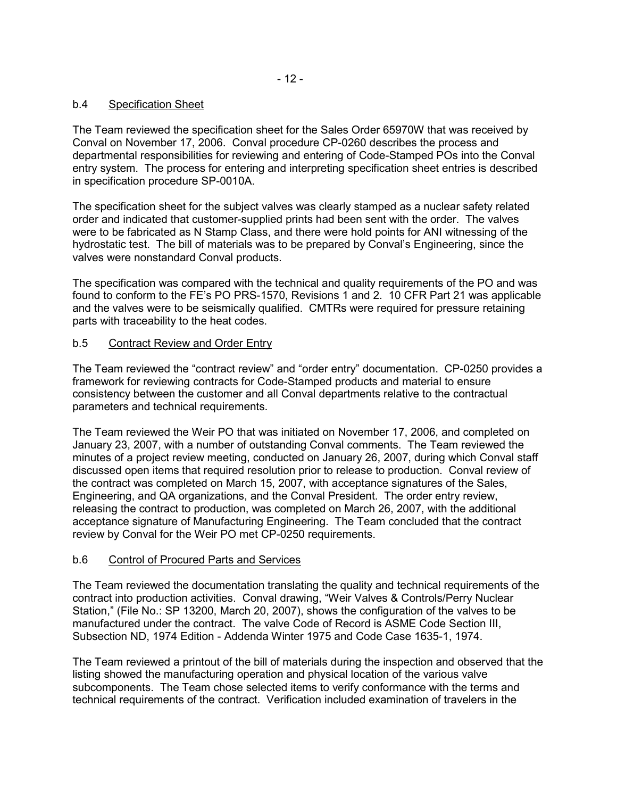# b.4 Specification Sheet

The Team reviewed the specification sheet for the Sales Order 65970W that was received by Conval on November 17, 2006. Conval procedure CP-0260 describes the process and departmental responsibilities for reviewing and entering of Code-Stamped POs into the Conval entry system. The process for entering and interpreting specification sheet entries is described in specification procedure SP-0010A.

The specification sheet for the subject valves was clearly stamped as a nuclear safety related order and indicated that customer-supplied prints had been sent with the order. The valves were to be fabricated as N Stamp Class, and there were hold points for ANI witnessing of the hydrostatic test. The bill of materials was to be prepared by Conval's Engineering, since the valves were nonstandard Conval products.

The specification was compared with the technical and quality requirements of the PO and was found to conform to the FE's PO PRS-1570, Revisions 1 and 2. 10 CFR Part 21 was applicable and the valves were to be seismically qualified. CMTRs were required for pressure retaining parts with traceability to the heat codes.

# b.5 Contract Review and Order Entry

The Team reviewed the "contract review" and "order entry" documentation. CP-0250 provides a framework for reviewing contracts for Code-Stamped products and material to ensure consistency between the customer and all Conval departments relative to the contractual parameters and technical requirements.

The Team reviewed the Weir PO that was initiated on November 17, 2006, and completed on January 23, 2007, with a number of outstanding Conval comments. The Team reviewed the minutes of a project review meeting, conducted on January 26, 2007, during which Conval staff discussed open items that required resolution prior to release to production. Conval review of the contract was completed on March 15, 2007, with acceptance signatures of the Sales, Engineering, and QA organizations, and the Conval President. The order entry review, releasing the contract to production, was completed on March 26, 2007, with the additional acceptance signature of Manufacturing Engineering. The Team concluded that the contract review by Conval for the Weir PO met CP-0250 requirements.

# b.6 Control of Procured Parts and Services

The Team reviewed the documentation translating the quality and technical requirements of the contract into production activities. Conval drawing, "Weir Valves & Controls/Perry Nuclear Station," (File No.: SP 13200, March 20, 2007), shows the configuration of the valves to be manufactured under the contract. The valve Code of Record is ASME Code Section III, Subsection ND, 1974 Edition - Addenda Winter 1975 and Code Case 1635-1, 1974.

The Team reviewed a printout of the bill of materials during the inspection and observed that the listing showed the manufacturing operation and physical location of the various valve subcomponents. The Team chose selected items to verify conformance with the terms and technical requirements of the contract. Verification included examination of travelers in the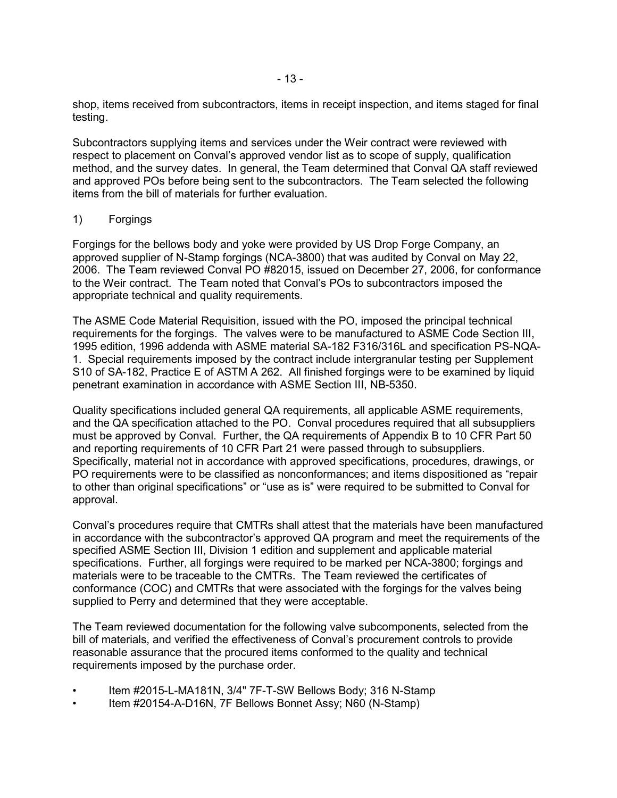shop, items received from subcontractors, items in receipt inspection, and items staged for final testing.

Subcontractors supplying items and services under the Weir contract were reviewed with respect to placement on Conval's approved vendor list as to scope of supply, qualification method, and the survey dates. In general, the Team determined that Conval QA staff reviewed and approved POs before being sent to the subcontractors. The Team selected the following items from the bill of materials for further evaluation.

### 1) Forgings

Forgings for the bellows body and yoke were provided by US Drop Forge Company, an approved supplier of N-Stamp forgings (NCA-3800) that was audited by Conval on May 22, 2006. The Team reviewed Conval PO #82015, issued on December 27, 2006, for conformance to the Weir contract. The Team noted that Conval's POs to subcontractors imposed the appropriate technical and quality requirements.

The ASME Code Material Requisition, issued with the PO, imposed the principal technical requirements for the forgings. The valves were to be manufactured to ASME Code Section III, 1995 edition, 1996 addenda with ASME material SA-182 F316/316L and specification PS-NQA-1. Special requirements imposed by the contract include intergranular testing per Supplement S10 of SA-182, Practice E of ASTM A 262. All finished forgings were to be examined by liquid penetrant examination in accordance with ASME Section III, NB-5350.

Quality specifications included general QA requirements, all applicable ASME requirements, and the QA specification attached to the PO. Conval procedures required that all subsuppliers must be approved by Conval. Further, the QA requirements of Appendix B to 10 CFR Part 50 and reporting requirements of 10 CFR Part 21 were passed through to subsuppliers. Specifically, material not in accordance with approved specifications, procedures, drawings, or PO requirements were to be classified as nonconformances; and items dispositioned as "repair to other than original specifications" or "use as is" were required to be submitted to Conval for approval.

Conval's procedures require that CMTRs shall attest that the materials have been manufactured in accordance with the subcontractor's approved QA program and meet the requirements of the specified ASME Section III, Division 1 edition and supplement and applicable material specifications. Further, all forgings were required to be marked per NCA-3800; forgings and materials were to be traceable to the CMTRs. The Team reviewed the certificates of conformance (COC) and CMTRs that were associated with the forgings for the valves being supplied to Perry and determined that they were acceptable.

The Team reviewed documentation for the following valve subcomponents, selected from the bill of materials, and verified the effectiveness of Conval's procurement controls to provide reasonable assurance that the procured items conformed to the quality and technical requirements imposed by the purchase order.

- Item #2015-L-MA181N, 3/4" 7F-T-SW Bellows Body; 316 N-Stamp
- Item #20154-A-D16N, 7F Bellows Bonnet Assy; N60 (N-Stamp)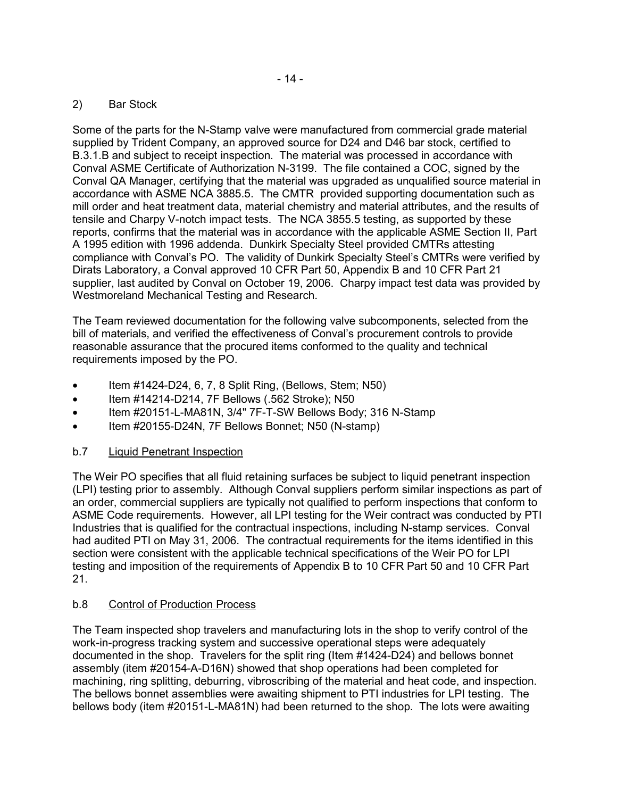# 2) Bar Stock

Some of the parts for the N-Stamp valve were manufactured from commercial grade material supplied by Trident Company, an approved source for D24 and D46 bar stock, certified to B.3.1.B and subject to receipt inspection. The material was processed in accordance with Conval ASME Certificate of Authorization N-3199. The file contained a COC, signed by the Conval QA Manager, certifying that the material was upgraded as unqualified source material in accordance with ASME NCA 3885.5. The CMTR provided supporting documentation such as mill order and heat treatment data, material chemistry and material attributes, and the results of tensile and Charpy V-notch impact tests. The NCA 3855.5 testing, as supported by these reports, confirms that the material was in accordance with the applicable ASME Section II, Part A 1995 edition with 1996 addenda. Dunkirk Specialty Steel provided CMTRs attesting compliance with Conval's PO. The validity of Dunkirk Specialty Steel's CMTRs were verified by Dirats Laboratory, a Conval approved 10 CFR Part 50, Appendix B and 10 CFR Part 21 supplier, last audited by Conval on October 19, 2006. Charpy impact test data was provided by Westmoreland Mechanical Testing and Research.

The Team reviewed documentation for the following valve subcomponents, selected from the bill of materials, and verified the effectiveness of Conval's procurement controls to provide reasonable assurance that the procured items conformed to the quality and technical requirements imposed by the PO.

- Item #1424-D24, 6, 7, 8 Split Ring, (Bellows, Stem; N50)
- Item #14214-D214, 7F Bellows (.562 Stroke); N50
- Item #20151-L-MA81N, 3/4" 7F-T-SW Bellows Body; 316 N-Stamp
- Item #20155-D24N, 7F Bellows Bonnet; N50 (N-stamp)

# b.7 Liquid Penetrant Inspection

The Weir PO specifies that all fluid retaining surfaces be subject to liquid penetrant inspection (LPI) testing prior to assembly. Although Conval suppliers perform similar inspections as part of an order, commercial suppliers are typically not qualified to perform inspections that conform to ASME Code requirements. However, all LPI testing for the Weir contract was conducted by PTI Industries that is qualified for the contractual inspections, including N-stamp services. Conval had audited PTI on May 31, 2006. The contractual requirements for the items identified in this section were consistent with the applicable technical specifications of the Weir PO for LPI testing and imposition of the requirements of Appendix B to 10 CFR Part 50 and 10 CFR Part 21.

# b.8 Control of Production Process

The Team inspected shop travelers and manufacturing lots in the shop to verify control of the work-in-progress tracking system and successive operational steps were adequately documented in the shop. Travelers for the split ring (Item #1424-D24) and bellows bonnet assembly (item #20154-A-D16N) showed that shop operations had been completed for machining, ring splitting, deburring, vibroscribing of the material and heat code, and inspection. The bellows bonnet assemblies were awaiting shipment to PTI industries for LPI testing. The bellows body (item #20151-L-MA81N) had been returned to the shop. The lots were awaiting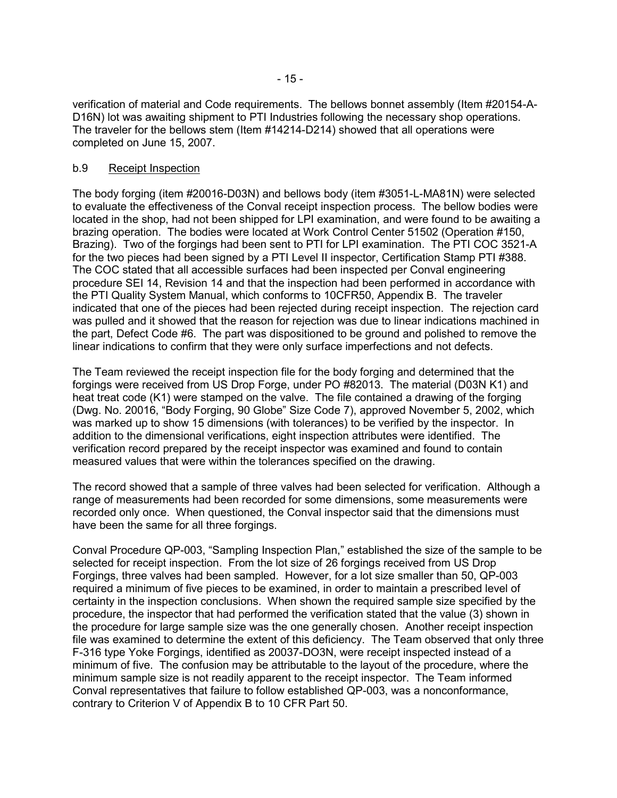verification of material and Code requirements. The bellows bonnet assembly (Item #20154-A-D16N) lot was awaiting shipment to PTI Industries following the necessary shop operations. The traveler for the bellows stem (Item #14214-D214) showed that all operations were completed on June 15, 2007.

### b.9 Receipt Inspection

The body forging (item #20016-D03N) and bellows body (item #3051-L-MA81N) were selected to evaluate the effectiveness of the Conval receipt inspection process. The bellow bodies were located in the shop, had not been shipped for LPI examination, and were found to be awaiting a brazing operation. The bodies were located at Work Control Center 51502 (Operation #150, Brazing). Two of the forgings had been sent to PTI for LPI examination. The PTI COC 3521-A for the two pieces had been signed by a PTI Level II inspector, Certification Stamp PTI #388. The COC stated that all accessible surfaces had been inspected per Conval engineering procedure SEI 14, Revision 14 and that the inspection had been performed in accordance with the PTI Quality System Manual, which conforms to 10CFR50, Appendix B. The traveler indicated that one of the pieces had been rejected during receipt inspection. The rejection card was pulled and it showed that the reason for rejection was due to linear indications machined in the part, Defect Code #6. The part was dispositioned to be ground and polished to remove the linear indications to confirm that they were only surface imperfections and not defects.

The Team reviewed the receipt inspection file for the body forging and determined that the forgings were received from US Drop Forge, under PO #82013. The material (D03N K1) and heat treat code (K1) were stamped on the valve. The file contained a drawing of the forging (Dwg. No. 20016, "Body Forging, 90 Globe" Size Code 7), approved November 5, 2002, which was marked up to show 15 dimensions (with tolerances) to be verified by the inspector. In addition to the dimensional verifications, eight inspection attributes were identified. The verification record prepared by the receipt inspector was examined and found to contain measured values that were within the tolerances specified on the drawing.

The record showed that a sample of three valves had been selected for verification. Although a range of measurements had been recorded for some dimensions, some measurements were recorded only once. When questioned, the Conval inspector said that the dimensions must have been the same for all three forgings.

Conval Procedure QP-003, "Sampling Inspection Plan," established the size of the sample to be selected for receipt inspection. From the lot size of 26 forgings received from US Drop Forgings, three valves had been sampled. However, for a lot size smaller than 50, QP-003 required a minimum of five pieces to be examined, in order to maintain a prescribed level of certainty in the inspection conclusions. When shown the required sample size specified by the procedure, the inspector that had performed the verification stated that the value (3) shown in the procedure for large sample size was the one generally chosen. Another receipt inspection file was examined to determine the extent of this deficiency. The Team observed that only three F-316 type Yoke Forgings, identified as 20037-DO3N, were receipt inspected instead of a minimum of five. The confusion may be attributable to the layout of the procedure, where the minimum sample size is not readily apparent to the receipt inspector. The Team informed Conval representatives that failure to follow established QP-003, was a nonconformance, contrary to Criterion V of Appendix B to 10 CFR Part 50.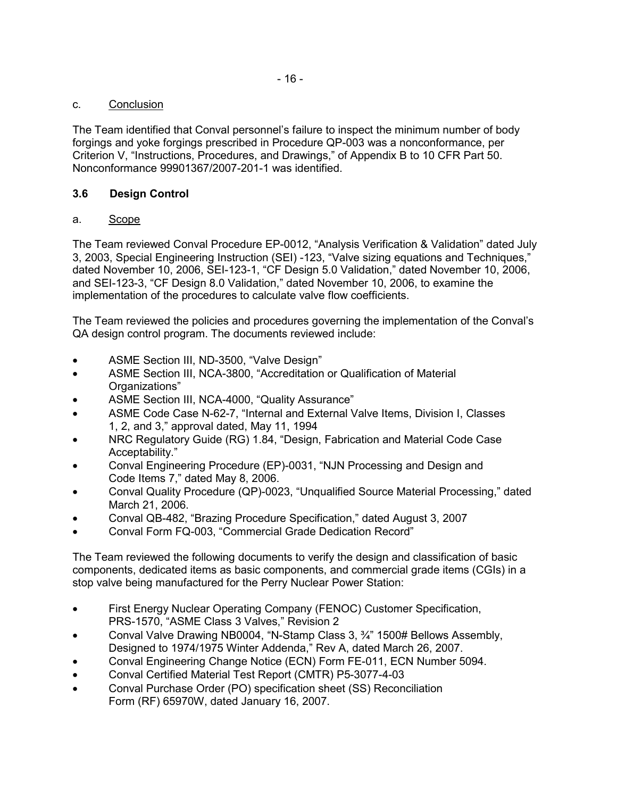# c. Conclusion

The Team identified that Conval personnel's failure to inspect the minimum number of body forgings and yoke forgings prescribed in Procedure QP-003 was a nonconformance, per Criterion V, "Instructions, Procedures, and Drawings," of Appendix B to 10 CFR Part 50. Nonconformance 99901367/2007-201-1 was identified.

# **3.6 Design Control**

# a. Scope

The Team reviewed Conval Procedure EP-0012, "Analysis Verification & Validation" dated July 3, 2003, Special Engineering Instruction (SEI) -123, "Valve sizing equations and Techniques," dated November 10, 2006, SEI-123-1, "CF Design 5.0 Validation," dated November 10, 2006, and SEI-123-3, "CF Design 8.0 Validation," dated November 10, 2006, to examine the implementation of the procedures to calculate valve flow coefficients.

The Team reviewed the policies and procedures governing the implementation of the Conval's QA design control program. The documents reviewed include:

- ASME Section III, ND-3500, "Valve Design"
- ASME Section III, NCA-3800, "Accreditation or Qualification of Material Organizations"
- ASME Section III, NCA-4000, "Quality Assurance"
- ASME Code Case N-62-7, "Internal and External Valve Items, Division I, Classes 1, 2, and 3," approval dated, May 11, 1994
- NRC Regulatory Guide (RG) 1.84, "Design, Fabrication and Material Code Case Acceptability."
- Conval Engineering Procedure (EP)-0031, "NJN Processing and Design and Code Items 7," dated May 8, 2006.
- Conval Quality Procedure (QP)-0023, "Unqualified Source Material Processing," dated March 21, 2006.
- Conval QB-482, "Brazing Procedure Specification," dated August 3, 2007
- Conval Form FQ-003, "Commercial Grade Dedication Record"

The Team reviewed the following documents to verify the design and classification of basic components, dedicated items as basic components, and commercial grade items (CGIs) in a stop valve being manufactured for the Perry Nuclear Power Station:

- First Energy Nuclear Operating Company (FENOC) Customer Specification, PRS-1570, "ASME Class 3 Valves," Revision 2
- Conval Valve Drawing NB0004, "N-Stamp Class 3, ¾" 1500# Bellows Assembly, Designed to 1974/1975 Winter Addenda," Rev A, dated March 26, 2007.
- Conval Engineering Change Notice (ECN) Form FE-011, ECN Number 5094.
- Conval Certified Material Test Report (CMTR) P5-3077-4-03
- Conval Purchase Order (PO) specification sheet (SS) Reconciliation Form (RF) 65970W, dated January 16, 2007.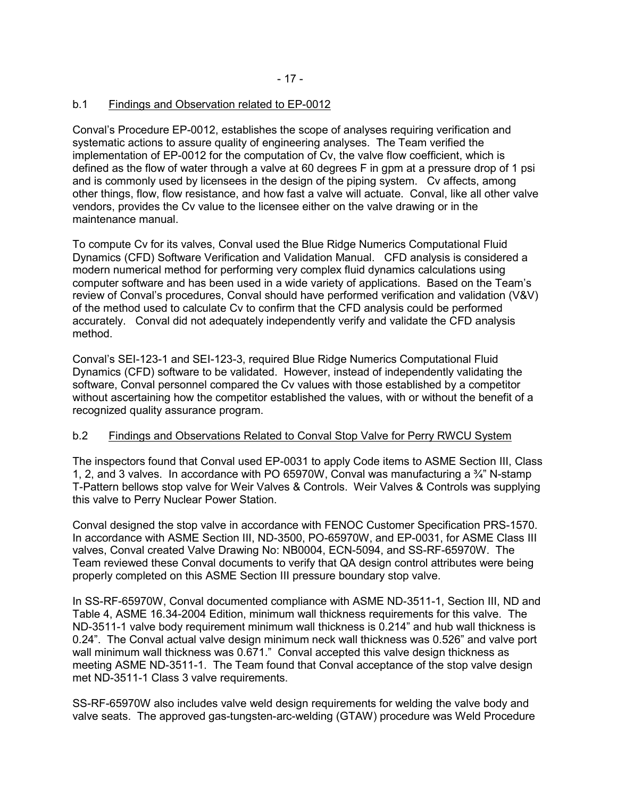# b.1 Findings and Observation related to EP-0012

Conval's Procedure EP-0012, establishes the scope of analyses requiring verification and systematic actions to assure quality of engineering analyses. The Team verified the implementation of EP-0012 for the computation of Cv, the valve flow coefficient, which is defined as the flow of water through a valve at 60 degrees F in gpm at a pressure drop of 1 psi and is commonly used by licensees in the design of the piping system. Cv affects, among other things, flow, flow resistance, and how fast a valve will actuate. Conval, like all other valve vendors, provides the Cv value to the licensee either on the valve drawing or in the maintenance manual.

To compute Cv for its valves, Conval used the Blue Ridge Numerics Computational Fluid Dynamics (CFD) Software Verification and Validation Manual. CFD analysis is considered a modern numerical method for performing very complex fluid dynamics calculations using computer software and has been used in a wide variety of applications. Based on the Team's review of Conval's procedures, Conval should have performed verification and validation (V&V) of the method used to calculate Cv to confirm that the CFD analysis could be performed accurately. Conval did not adequately independently verify and validate the CFD analysis method.

Conval's SEI-123-1 and SEI-123-3, required Blue Ridge Numerics Computational Fluid Dynamics (CFD) software to be validated. However, instead of independently validating the software, Conval personnel compared the Cv values with those established by a competitor without ascertaining how the competitor established the values, with or without the benefit of a recognized quality assurance program.

# b.2 Findings and Observations Related to Conval Stop Valve for Perry RWCU System

The inspectors found that Conval used EP-0031 to apply Code items to ASME Section III, Class 1, 2, and 3 valves. In accordance with PO 65970W, Conval was manufacturing a ¾" N-stamp T-Pattern bellows stop valve for Weir Valves & Controls. Weir Valves & Controls was supplying this valve to Perry Nuclear Power Station.

Conval designed the stop valve in accordance with FENOC Customer Specification PRS-1570. In accordance with ASME Section III, ND-3500, PO-65970W, and EP-0031, for ASME Class III valves, Conval created Valve Drawing No: NB0004, ECN-5094, and SS-RF-65970W. The Team reviewed these Conval documents to verify that QA design control attributes were being properly completed on this ASME Section III pressure boundary stop valve.

In SS-RF-65970W, Conval documented compliance with ASME ND-3511-1, Section III, ND and Table 4, ASME 16.34-2004 Edition, minimum wall thickness requirements for this valve. The ND-3511-1 valve body requirement minimum wall thickness is 0.214" and hub wall thickness is 0.24". The Conval actual valve design minimum neck wall thickness was 0.526" and valve port wall minimum wall thickness was 0.671." Conval accepted this valve design thickness as meeting ASME ND-3511-1. The Team found that Conval acceptance of the stop valve design met ND-3511-1 Class 3 valve requirements.

SS-RF-65970W also includes valve weld design requirements for welding the valve body and valve seats. The approved gas-tungsten-arc-welding (GTAW) procedure was Weld Procedure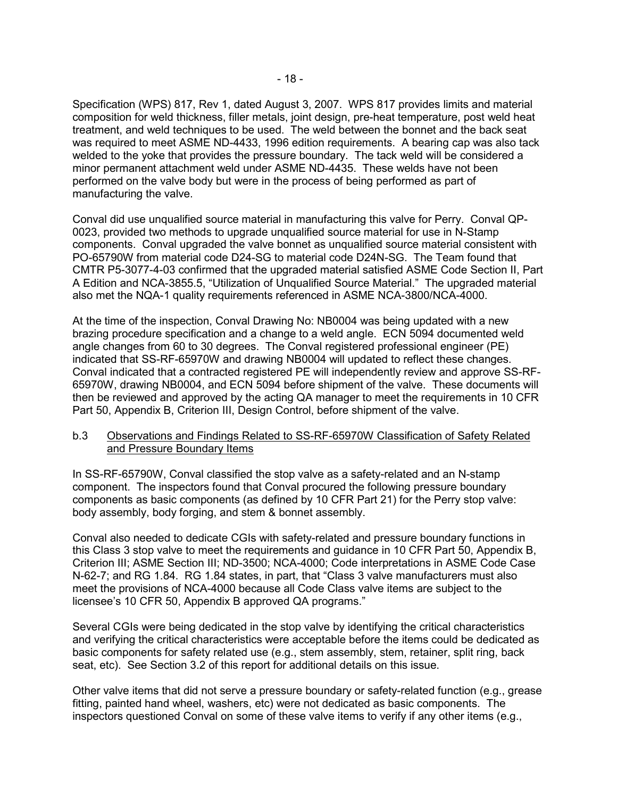Specification (WPS) 817, Rev 1, dated August 3, 2007. WPS 817 provides limits and material composition for weld thickness, filler metals, joint design, pre-heat temperature, post weld heat treatment, and weld techniques to be used. The weld between the bonnet and the back seat was required to meet ASME ND-4433, 1996 edition requirements. A bearing cap was also tack welded to the yoke that provides the pressure boundary. The tack weld will be considered a minor permanent attachment weld under ASME ND-4435. These welds have not been performed on the valve body but were in the process of being performed as part of manufacturing the valve.

Conval did use unqualified source material in manufacturing this valve for Perry. Conval QP-0023, provided two methods to upgrade unqualified source material for use in N-Stamp components. Conval upgraded the valve bonnet as unqualified source material consistent with PO-65790W from material code D24-SG to material code D24N-SG. The Team found that CMTR P5-3077-4-03 confirmed that the upgraded material satisfied ASME Code Section II, Part A Edition and NCA-3855.5, "Utilization of Unqualified Source Material." The upgraded material also met the NQA-1 quality requirements referenced in ASME NCA-3800/NCA-4000.

At the time of the inspection, Conval Drawing No: NB0004 was being updated with a new brazing procedure specification and a change to a weld angle. ECN 5094 documented weld angle changes from 60 to 30 degrees. The Conval registered professional engineer (PE) indicated that SS-RF-65970W and drawing NB0004 will updated to reflect these changes. Conval indicated that a contracted registered PE will independently review and approve SS-RF-65970W, drawing NB0004, and ECN 5094 before shipment of the valve. These documents will then be reviewed and approved by the acting QA manager to meet the requirements in 10 CFR Part 50, Appendix B, Criterion III, Design Control, before shipment of the valve.

### b.3 Observations and Findings Related to SS-RF-65970W Classification of Safety Related and Pressure Boundary Items

In SS-RF-65790W, Conval classified the stop valve as a safety-related and an N-stamp component. The inspectors found that Conval procured the following pressure boundary components as basic components (as defined by 10 CFR Part 21) for the Perry stop valve: body assembly, body forging, and stem & bonnet assembly.

Conval also needed to dedicate CGIs with safety-related and pressure boundary functions in this Class 3 stop valve to meet the requirements and guidance in 10 CFR Part 50, Appendix B, Criterion III; ASME Section III; ND-3500; NCA-4000; Code interpretations in ASME Code Case N-62-7; and RG 1.84. RG 1.84 states, in part, that "Class 3 valve manufacturers must also meet the provisions of NCA-4000 because all Code Class valve items are subject to the licensee's 10 CFR 50, Appendix B approved QA programs."

Several CGIs were being dedicated in the stop valve by identifying the critical characteristics and verifying the critical characteristics were acceptable before the items could be dedicated as basic components for safety related use (e.g., stem assembly, stem, retainer, split ring, back seat, etc). See Section 3.2 of this report for additional details on this issue.

Other valve items that did not serve a pressure boundary or safety-related function (e.g., grease fitting, painted hand wheel, washers, etc) were not dedicated as basic components. The inspectors questioned Conval on some of these valve items to verify if any other items (e.g.,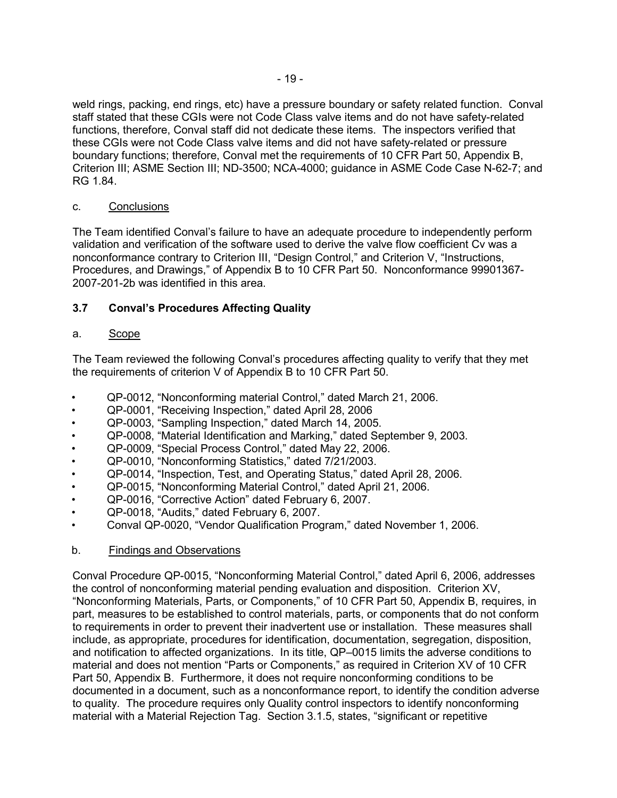weld rings, packing, end rings, etc) have a pressure boundary or safety related function. Conval staff stated that these CGIs were not Code Class valve items and do not have safety-related functions, therefore, Conval staff did not dedicate these items. The inspectors verified that these CGIs were not Code Class valve items and did not have safety-related or pressure boundary functions; therefore, Conval met the requirements of 10 CFR Part 50, Appendix B, Criterion III; ASME Section III; ND-3500; NCA-4000; guidance in ASME Code Case N-62-7; and RG 1.84.

# c. Conclusions

The Team identified Conval's failure to have an adequate procedure to independently perform validation and verification of the software used to derive the valve flow coefficient Cv was a nonconformance contrary to Criterion III, "Design Control," and Criterion V, "Instructions, Procedures, and Drawings," of Appendix B to 10 CFR Part 50. Nonconformance 99901367- 2007-201-2b was identified in this area.

# **3.7 Conval's Procedures Affecting Quality**

### a. Scope

The Team reviewed the following Conval's procedures affecting quality to verify that they met the requirements of criterion V of Appendix B to 10 CFR Part 50.

- QP-0012, "Nonconforming material Control," dated March 21, 2006.
- QP-0001, "Receiving Inspection," dated April 28, 2006
- QP-0003, "Sampling Inspection," dated March 14, 2005.
- QP-0008, "Material Identification and Marking," dated September 9, 2003.
- QP-0009, "Special Process Control," dated May 22, 2006.
- QP-0010, "Nonconforming Statistics," dated 7/21/2003.
- QP-0014, "Inspection, Test, and Operating Status," dated April 28, 2006.
- QP-0015, "Nonconforming Material Control," dated April 21, 2006.
- QP-0016, "Corrective Action" dated February 6, 2007.
- QP-0018, "Audits," dated February 6, 2007.
- Conval QP-0020, "Vendor Qualification Program," dated November 1, 2006.
- b. Findings and Observations

Conval Procedure QP-0015, "Nonconforming Material Control," dated April 6, 2006, addresses the control of nonconforming material pending evaluation and disposition. Criterion XV, "Nonconforming Materials, Parts, or Components," of 10 CFR Part 50, Appendix B, requires, in part, measures to be established to control materials, parts, or components that do not conform to requirements in order to prevent their inadvertent use or installation. These measures shall include, as appropriate, procedures for identification, documentation, segregation, disposition, and notification to affected organizations. In its title, QP–0015 limits the adverse conditions to material and does not mention "Parts or Components," as required in Criterion XV of 10 CFR Part 50, Appendix B. Furthermore, it does not require nonconforming conditions to be documented in a document, such as a nonconformance report, to identify the condition adverse to quality. The procedure requires only Quality control inspectors to identify nonconforming material with a Material Rejection Tag. Section 3.1.5, states, "significant or repetitive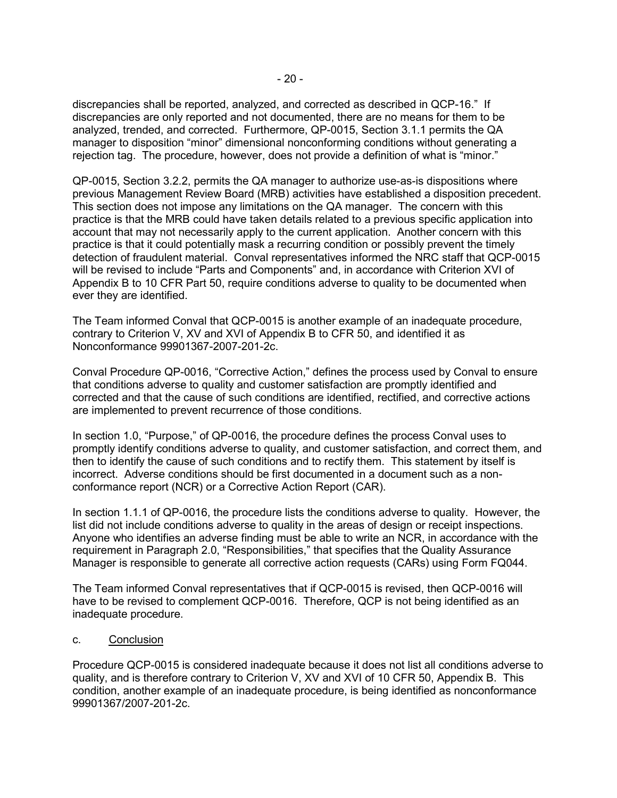discrepancies shall be reported, analyzed, and corrected as described in QCP-16." If discrepancies are only reported and not documented, there are no means for them to be analyzed, trended, and corrected. Furthermore, QP-0015, Section 3.1.1 permits the QA manager to disposition "minor" dimensional nonconforming conditions without generating a rejection tag. The procedure, however, does not provide a definition of what is "minor."

QP-0015, Section 3.2.2, permits the QA manager to authorize use-as-is dispositions where previous Management Review Board (MRB) activities have established a disposition precedent. This section does not impose any limitations on the QA manager. The concern with this practice is that the MRB could have taken details related to a previous specific application into account that may not necessarily apply to the current application. Another concern with this practice is that it could potentially mask a recurring condition or possibly prevent the timely detection of fraudulent material. Conval representatives informed the NRC staff that QCP-0015 will be revised to include "Parts and Components" and, in accordance with Criterion XVI of Appendix B to 10 CFR Part 50, require conditions adverse to quality to be documented when ever they are identified.

The Team informed Conval that QCP-0015 is another example of an inadequate procedure, contrary to Criterion V, XV and XVI of Appendix B to CFR 50, and identified it as Nonconformance 99901367-2007-201-2c.

Conval Procedure QP-0016, "Corrective Action," defines the process used by Conval to ensure that conditions adverse to quality and customer satisfaction are promptly identified and corrected and that the cause of such conditions are identified, rectified, and corrective actions are implemented to prevent recurrence of those conditions.

In section 1.0, "Purpose," of QP-0016, the procedure defines the process Conval uses to promptly identify conditions adverse to quality, and customer satisfaction, and correct them, and then to identify the cause of such conditions and to rectify them. This statement by itself is incorrect. Adverse conditions should be first documented in a document such as a nonconformance report (NCR) or a Corrective Action Report (CAR).

In section 1.1.1 of QP-0016, the procedure lists the conditions adverse to quality. However, the list did not include conditions adverse to quality in the areas of design or receipt inspections. Anyone who identifies an adverse finding must be able to write an NCR, in accordance with the requirement in Paragraph 2.0, "Responsibilities," that specifies that the Quality Assurance Manager is responsible to generate all corrective action requests (CARs) using Form FQ044.

The Team informed Conval representatives that if QCP-0015 is revised, then QCP-0016 will have to be revised to complement QCP-0016. Therefore, QCP is not being identified as an inadequate procedure.

### c. Conclusion

Procedure QCP-0015 is considered inadequate because it does not list all conditions adverse to quality, and is therefore contrary to Criterion V, XV and XVI of 10 CFR 50, Appendix B. This condition, another example of an inadequate procedure, is being identified as nonconformance 99901367/2007-201-2c.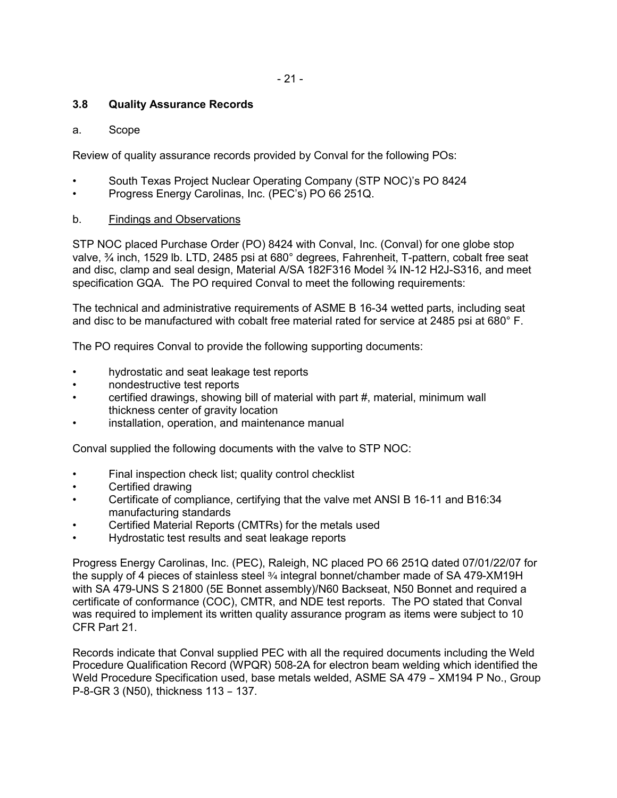# **3.8 Quality Assurance Records**

### a. Scope

Review of quality assurance records provided by Conval for the following POs:

- South Texas Project Nuclear Operating Company (STP NOC)'s PO 8424
- Progress Energy Carolinas, Inc. (PEC's) PO 66 251Q.

### b. Findings and Observations

STP NOC placed Purchase Order (PO) 8424 with Conval, Inc. (Conval) for one globe stop valve, ¾ inch, 1529 lb. LTD, 2485 psi at 680° degrees, Fahrenheit, T-pattern, cobalt free seat and disc, clamp and seal design, Material A/SA 182F316 Model ¾ IN-12 H2J-S316, and meet specification GQA. The PO required Conval to meet the following requirements:

The technical and administrative requirements of ASME B 16-34 wetted parts, including seat and disc to be manufactured with cobalt free material rated for service at 2485 psi at 680° F.

The PO requires Conval to provide the following supporting documents:

- hydrostatic and seat leakage test reports
- nondestructive test reports
- certified drawings, showing bill of material with part #, material, minimum wall thickness center of gravity location
- installation, operation, and maintenance manual

Conval supplied the following documents with the valve to STP NOC:

- Final inspection check list; quality control checklist
- Certified drawing
- Certificate of compliance, certifying that the valve met ANSI B 16-11 and B16:34 manufacturing standards
- Certified Material Reports (CMTRs) for the metals used
- Hydrostatic test results and seat leakage reports

Progress Energy Carolinas, Inc. (PEC), Raleigh, NC placed PO 66 251Q dated 07/01/22/07 for the supply of 4 pieces of stainless steel 3/4 integral bonnet/chamber made of SA 479-XM19H with SA 479-UNS S 21800 (5E Bonnet assembly)/N60 Backseat, N50 Bonnet and required a certificate of conformance (COC), CMTR, and NDE test reports. The PO stated that Conval was required to implement its written quality assurance program as items were subject to 10 CFR Part 21.

Records indicate that Conval supplied PEC with all the required documents including the Weld Procedure Qualification Record (WPQR) 508-2A for electron beam welding which identified the Weld Procedure Specification used, base metals welded, ASME SA 479 - XM194 P No., Group P-8-GR 3 (N50), thickness 113 - 137.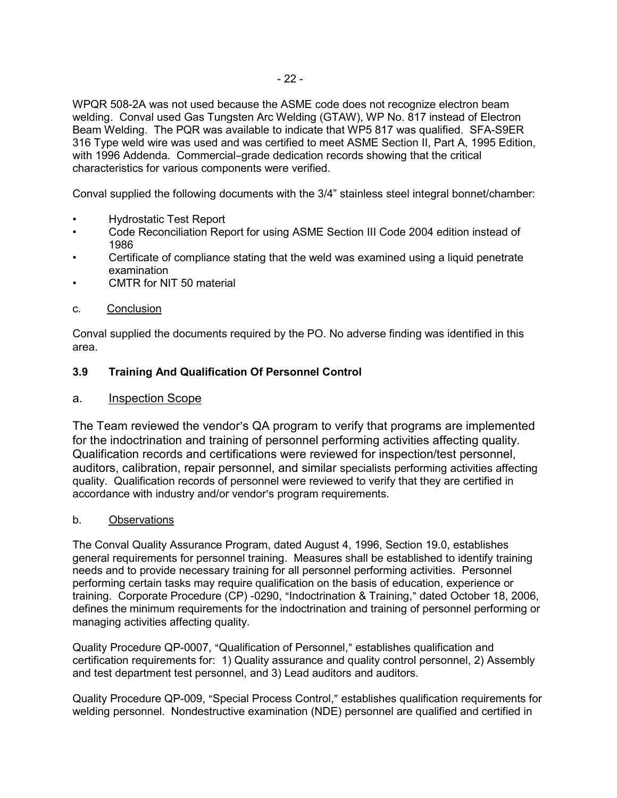WPQR 508-2A was not used because the ASME code does not recognize electron beam welding. Conval used Gas Tungsten Arc Welding (GTAW), WP No. 817 instead of Electron Beam Welding. The PQR was available to indicate that WP5 817 was qualified. SFA-S9ER 316 Type weld wire was used and was certified to meet ASME Section II, Part A, 1995 Edition, with 1996 Addenda. Commercial-grade dedication records showing that the critical characteristics for various components were verified.

Conval supplied the following documents with the 3/4" stainless steel integral bonnet/chamber:

- Hydrostatic Test Report
- Code Reconciliation Report for using ASME Section III Code 2004 edition instead of 1986
- Certificate of compliance stating that the weld was examined using a liquid penetrate examination
- CMTR for NIT 50 material
- c. Conclusion

Conval supplied the documents required by the PO. No adverse finding was identified in this area.

### **3.9 Training And Qualification Of Personnel Control**

### a. Inspection Scope

The Team reviewed the vendor's QA program to verify that programs are implemented for the indoctrination and training of personnel performing activities affecting quality. Qualification records and certifications were reviewed for inspection/test personnel, auditors, calibration, repair personnel, and similar specialists performing activities affecting quality. Qualification records of personnel were reviewed to verify that they are certified in accordance with industry and/or vendor's program requirements.

### b. Observations

The Conval Quality Assurance Program, dated August 4, 1996, Section 19.0, establishes general requirements for personnel training. Measures shall be established to identify training needs and to provide necessary training for all personnel performing activities. Personnel performing certain tasks may require qualification on the basis of education, experience or training. Corporate Procedure (CP) -0290, "Indoctrination & Training," dated October 18, 2006, defines the minimum requirements for the indoctrination and training of personnel performing or managing activities affecting quality.

Quality Procedure QP-0007, "Qualification of Personnel," establishes qualification and certification requirements for: 1) Quality assurance and quality control personnel, 2) Assembly and test department test personnel, and 3) Lead auditors and auditors.

Quality Procedure QP-009, "Special Process Control," establishes qualification requirements for welding personnel. Nondestructive examination (NDE) personnel are qualified and certified in